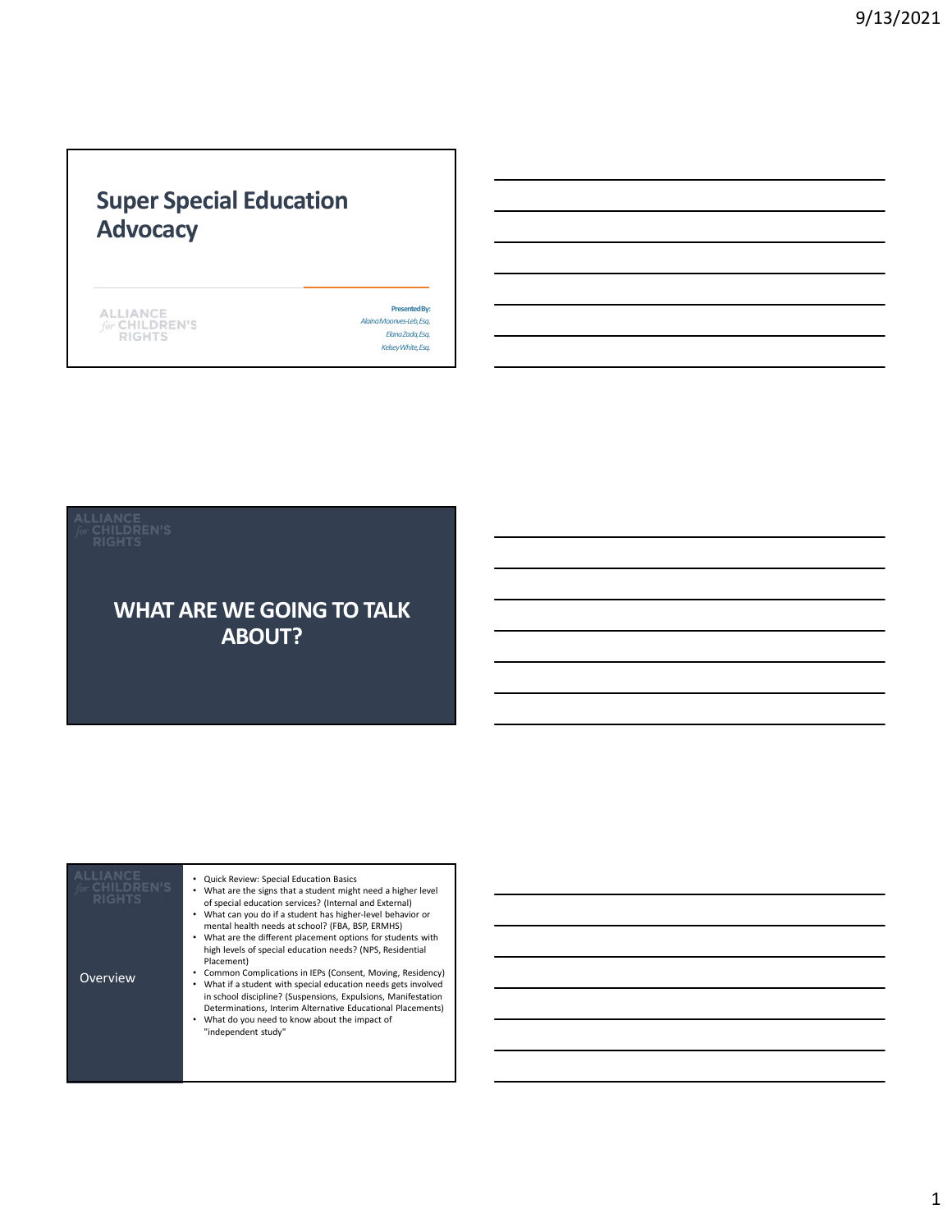# Super Special Education **Advocacy**

|      | . I A N |  |
|------|---------|--|
| TOT. | -HILD!  |  |
|      |         |  |
|      | .       |  |

Presented By: Alaina Moonves-Leb, Esq. Elana Zada, Esq. Kelsey White, Esq.

### WHAT ARE WE GOING TO TALK ABOUT?

| <b>ALLIANCE</b><br>CHILDREN'S<br><b>RIGHTS</b> | Quick Review: Special Education Basics<br>What are the signs that a student might need a higher level<br>of special education services? (Internal and External)<br>What can you do if a student has higher-level behavior or<br>mental health needs at school? (FBA, BSP, ERMHS)<br>What are the different placement options for students with<br>high levels of special education needs? (NPS, Residential<br>Placement) |  |
|------------------------------------------------|---------------------------------------------------------------------------------------------------------------------------------------------------------------------------------------------------------------------------------------------------------------------------------------------------------------------------------------------------------------------------------------------------------------------------|--|
| Overview                                       | Common Complications in IEPs (Consent, Moving, Residency)<br>What if a student with special education needs gets involved<br>in school discipline? (Suspensions, Expulsions, Manifestation<br>Determinations, Interim Alternative Educational Placements)<br>What do you need to know about the impact of<br>"independent study"                                                                                          |  |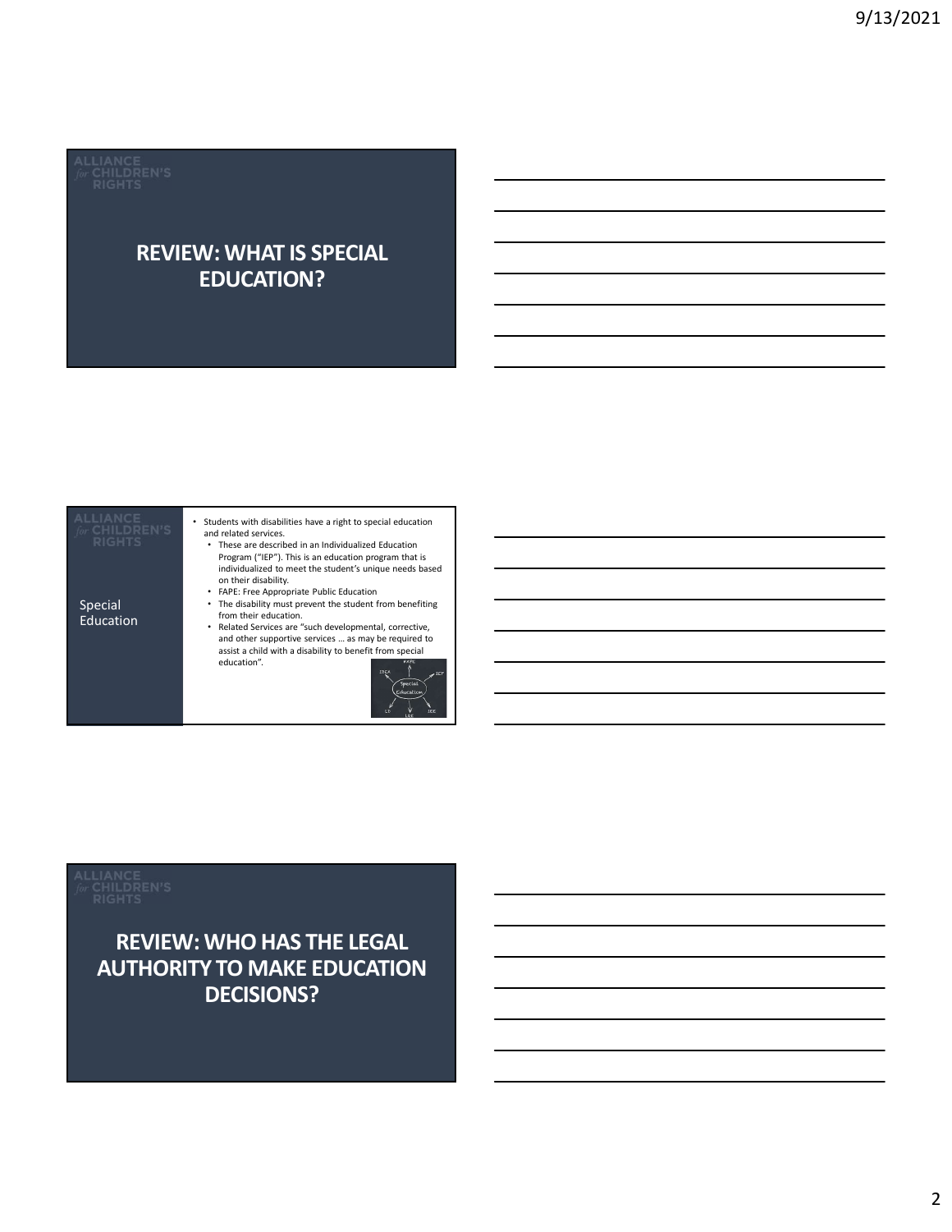<u> The Common State of the Common State of the Common State of the Common State of the Common State of the Common State of the Common State of the Common State of the Common State of the Common State of the Common State of </u>

## REVIEW: WHAT IS SPECIAL EDUCATION?

| or CHILDREN'S<br><b>RIGHTS</b> | Students with disabilities have a right to special education<br>and related services.<br>• These are described in an Individualized Education<br>Program ("IEP"). This is an education program that is<br>individualized to meet the student's unique needs based<br>on their disability.<br>FAPE: Free Appropriate Public Education |  |
|--------------------------------|--------------------------------------------------------------------------------------------------------------------------------------------------------------------------------------------------------------------------------------------------------------------------------------------------------------------------------------|--|
| Special<br><b>Education</b>    | The disability must prevent the student from benefiting<br>from their education.<br>Related Services are "such developmental, corrective,<br>and other supportive services  as may be required to<br>assist a child with a disability to benefit from special<br>education".<br>FAPE<br><b>IDEA</b><br>ICF<br>Special                |  |

### REVIEW: WHO HAS THE LEGAL AUTHORITY TO MAKE EDUCATION DECISIONS?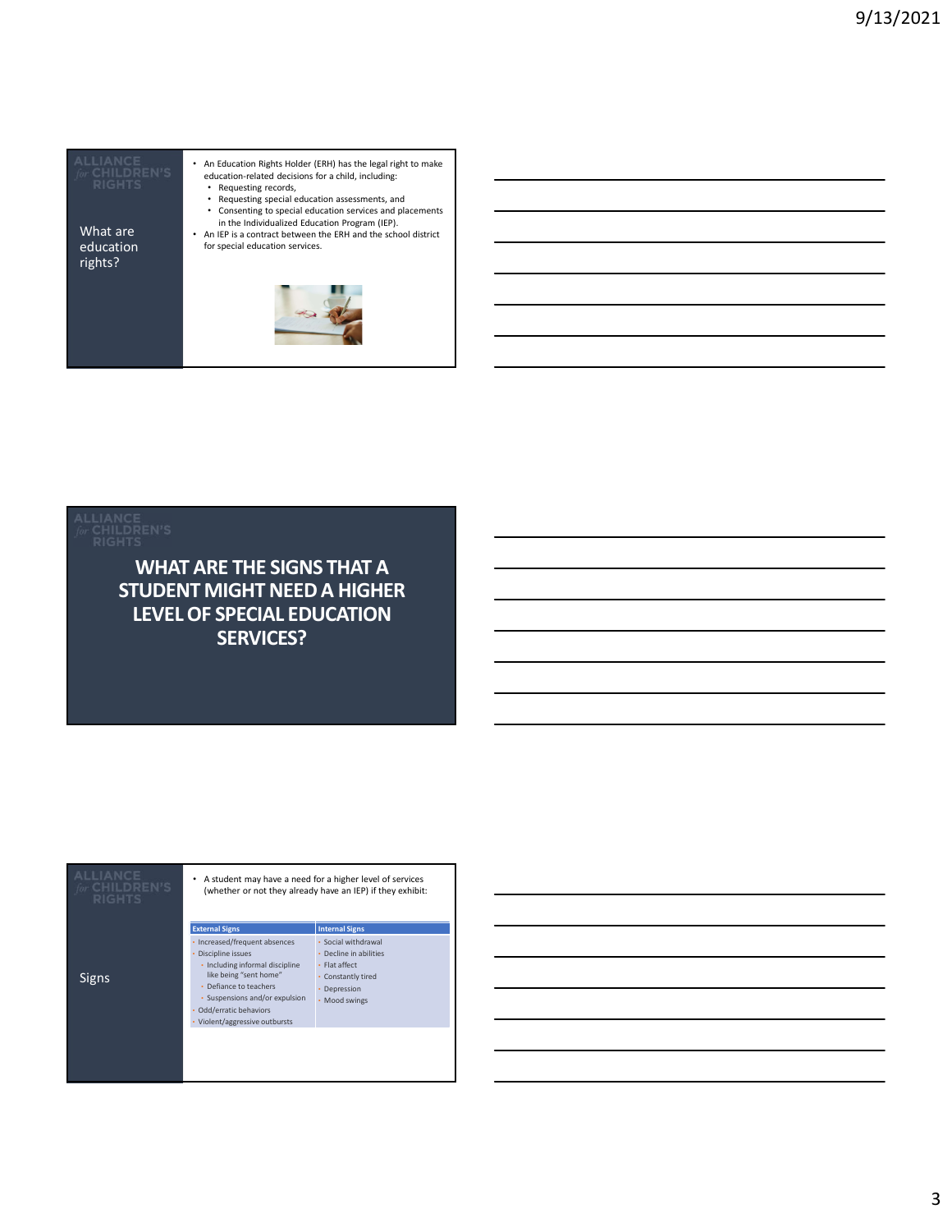What are  $\overline{\phantom{a}}$  and  $\overline{\phantom{a}}$  and  $\overline{\phantom{a}}$ rights?

- An Education Rights Holder (ERH) has the legal right to make education-related decisions for a child, including: • Requesting records, • Requesting special education assessments, and
- Consenting to special education services and placements<br>
in the Individualized Education Program (IEP).<br>
 An IEP is a contract between the ERH and the school district<br>
for special education services.
- education for special education services.



| <b>RIGHTS</b>                                      | <b>WHAT ARE THE SIGNS THAT A</b><br><b>STUDENT MIGHT NEED A HIGHER</b>                                                                                                                                                                                          |                                                                                                                                                |  |  |
|----------------------------------------------------|-----------------------------------------------------------------------------------------------------------------------------------------------------------------------------------------------------------------------------------------------------------------|------------------------------------------------------------------------------------------------------------------------------------------------|--|--|
|                                                    | <b>LEVEL OF SPECIAL EDUCATION</b><br><b>SERVICES?</b>                                                                                                                                                                                                           |                                                                                                                                                |  |  |
|                                                    |                                                                                                                                                                                                                                                                 |                                                                                                                                                |  |  |
| <b>ALLIANCE</b><br>for CHILDREN'S<br><b>RIGHTS</b> | • A student may have a need for a higher level of services                                                                                                                                                                                                      | (whether or not they already have an IEP) if they exhibit:                                                                                     |  |  |
| Signs                                              | <b>External Signs</b><br>• Increased/frequent absences<br>Discipline issues<br>· Including informal discipline<br>like being "sent home"<br>• Defiance to teachers<br>· Suspensions and/or expulsion<br>Odd/erratic behaviors<br>• Violent/aggressive outbursts | <b>Internal Signs</b><br>· Social withdrawal<br>• Decline in abilities<br>• Flat affect<br>• Constantly tired<br>• Depression<br>• Mood swings |  |  |
|                                                    |                                                                                                                                                                                                                                                                 |                                                                                                                                                |  |  |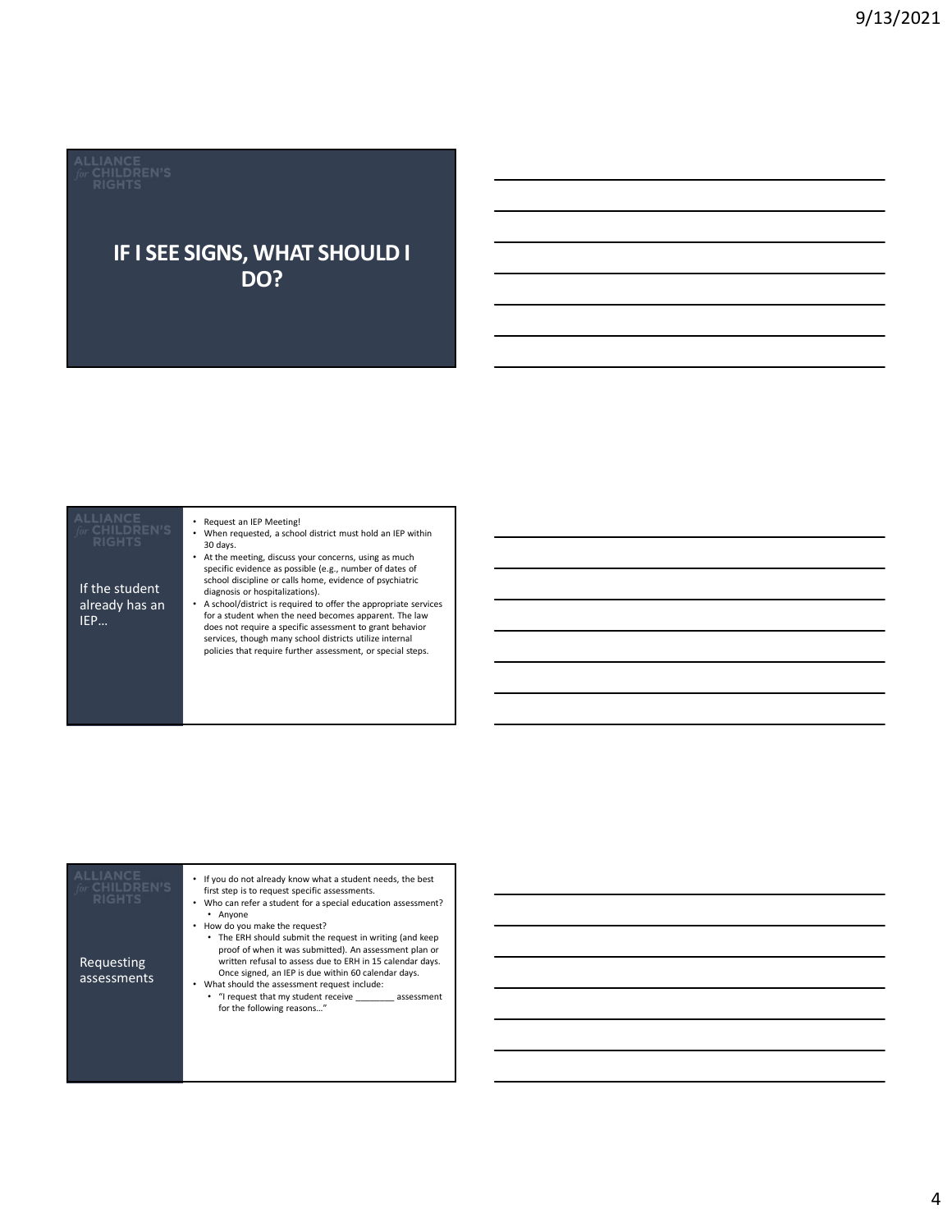# IF I SEE SIGNS, WHAT SHOULD I DO?

### If the student already has an<br>IEP...

### • Request an IEP Meeting!

- When requested, a school district must hold an IEP within 30 days.<br>• At the meeting, discuss your concerns, using as much
- specific evidence as possible (e.g., number of dates of school discipline or calls home, evidence of psychiatric diagnosis or hospitalizations).
- **IEP…** for a student when the need becomes apparent. The law<br>does not require a specific assessment to graph behavior • A school/district is required to offer the appropriate services does not require a specific assessment to grant behavior services, though many school districts utilize internal policies that require further assessment, or special steps.

| <b>ALLIANCE</b><br>for CHILDREN'S<br><b>RIGHTS</b> | If you do not already know what a student needs, the best<br>٠<br>first step is to request specific assessments.<br>Who can refer a student for a special education assessment?<br>• Anvone                                                                                                                           |
|----------------------------------------------------|-----------------------------------------------------------------------------------------------------------------------------------------------------------------------------------------------------------------------------------------------------------------------------------------------------------------------|
| Requesting<br>assessments                          | How do you make the request?<br>• The ERH should submit the request in writing (and keep<br>proof of when it was submitted). An assessment plan or<br>written refusal to assess due to ERH in 15 calendar days.<br>Once signed, an IEP is due within 60 calendar days.<br>What should the assessment request include: |
|                                                    | • "I request that my student receive assessment<br>for the following reasons"                                                                                                                                                                                                                                         |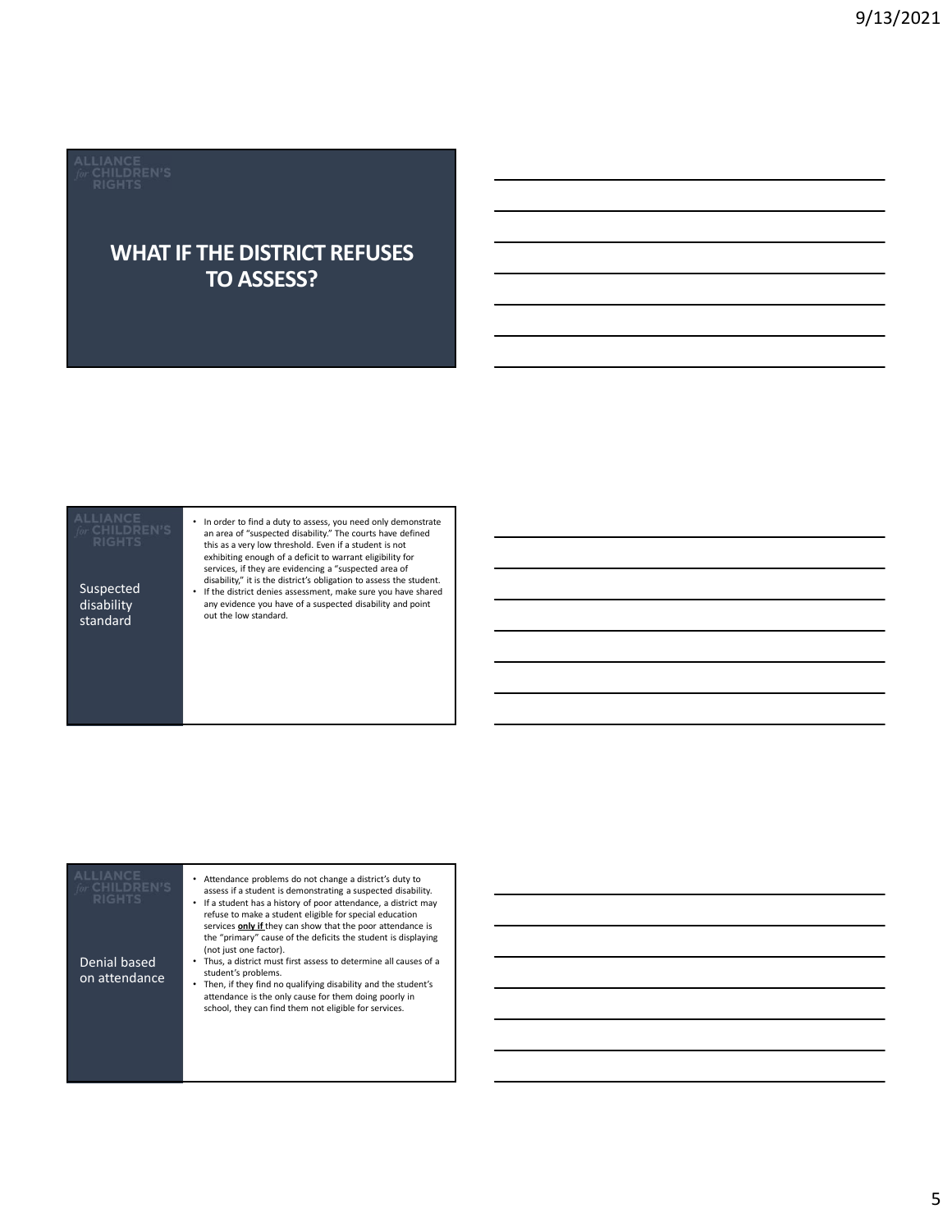### WHAT IF THE DISTRICT REFUSES TO ASSESS?

# disability<br>standard

Suspected • If the district denies assessment, make sure you have shared • In order to find a duty to assess, you need only demonstrate an area of "suspected disability." The courts have defined this as a very low threshold. Even if a student is not exhibiting enough of a deficit to warrant eligibility for<br>services, if they are evidencing a "suspected area of<br>disability," it is the district's obligation to assess the student.

out the low standard. any evidence you have of a suspected disability and point

| <b>ALLIANCE</b><br>CHILDREN'S<br><b>RIGHTS</b> | Attendance problems do not change a district's duty to<br>assess if a student is demonstrating a suspected disability.<br>If a student has a history of poor attendance, a district may<br>refuse to make a student eligible for special education<br>services only if they can show that the poor attendance is<br>the "primary" cause of the deficits the student is displaying |  |
|------------------------------------------------|-----------------------------------------------------------------------------------------------------------------------------------------------------------------------------------------------------------------------------------------------------------------------------------------------------------------------------------------------------------------------------------|--|
| Denial based<br>on attendance                  | (not just one factor).<br>Thus, a district must first assess to determine all causes of a<br>student's problems.<br>Then, if they find no qualifying disability and the student's<br>attendance is the only cause for them doing poorly in<br>school, they can find them not eligible for services.                                                                               |  |
|                                                |                                                                                                                                                                                                                                                                                                                                                                                   |  |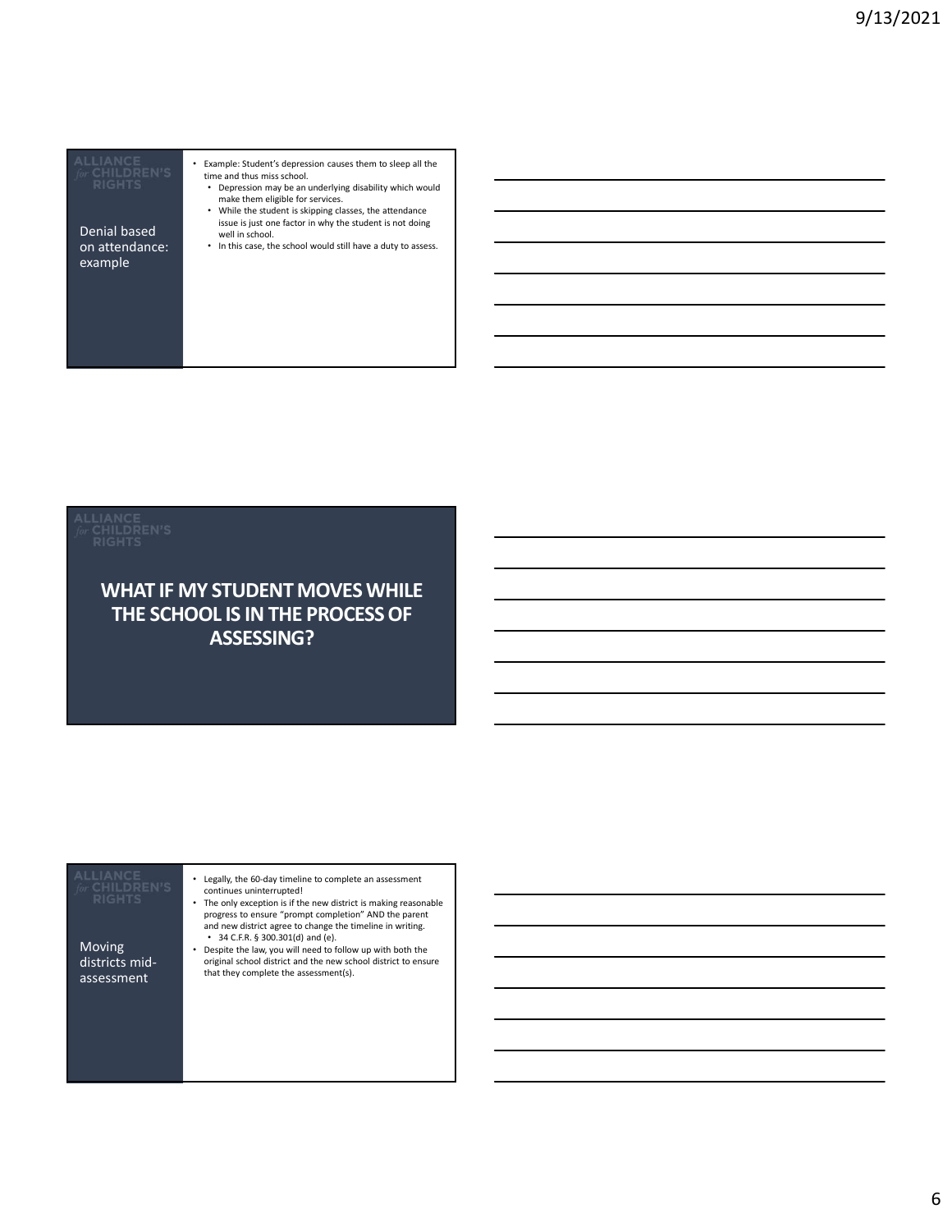| Denial based   | issue is just one factor in why the stude!<br>well in school. |
|----------------|---------------------------------------------------------------|
| on attendance: | . In this case, the school would still have                   |
| example        |                                                               |

| Example: Student's depression causes them to sleep all the<br>time and thus miss school.<br>Depression may be an underlying disability which would<br>٠                    |  |  |
|----------------------------------------------------------------------------------------------------------------------------------------------------------------------------|--|--|
| make them eligible for services.<br>• While the student is skipping classes, the attendance<br>issue is just one factor in why the student is not doing<br>well in school. |  |  |

on attendance: <br>
• In this case, the school would still have a duty to assess.

### WHAT IF MY STUDENT MOVES WHILE THE SCHOOL IS IN THE PROCESS OF ASSESSING?

| <b>WHAT IF MY STUDENT MOVES WHILE</b><br>THE SCHOOL IS IN THE PROCESS OF<br><b>ASSESSING?</b>                                                                                                                                                                                                                                                                                                                                                                                                                                                                                      |  |
|------------------------------------------------------------------------------------------------------------------------------------------------------------------------------------------------------------------------------------------------------------------------------------------------------------------------------------------------------------------------------------------------------------------------------------------------------------------------------------------------------------------------------------------------------------------------------------|--|
| <b>ALLIANCE</b><br>• Legally, the 60-day timeline to complete an assessment<br>CHILDREN'S<br>continues uninterrupted!<br>RIGHTS<br>• The only exception is if the new district is making reasonable<br>progress to ensure "prompt completion" AND the parent<br>and new district agree to change the timeline in writing.<br>• 34 C.F.R. § 300.301(d) and (e).<br>Moving<br>• Despite the law, you will need to follow up with both the<br>districts mid-<br>original school district and the new school district to ensure<br>that they complete the assessment(s).<br>assessment |  |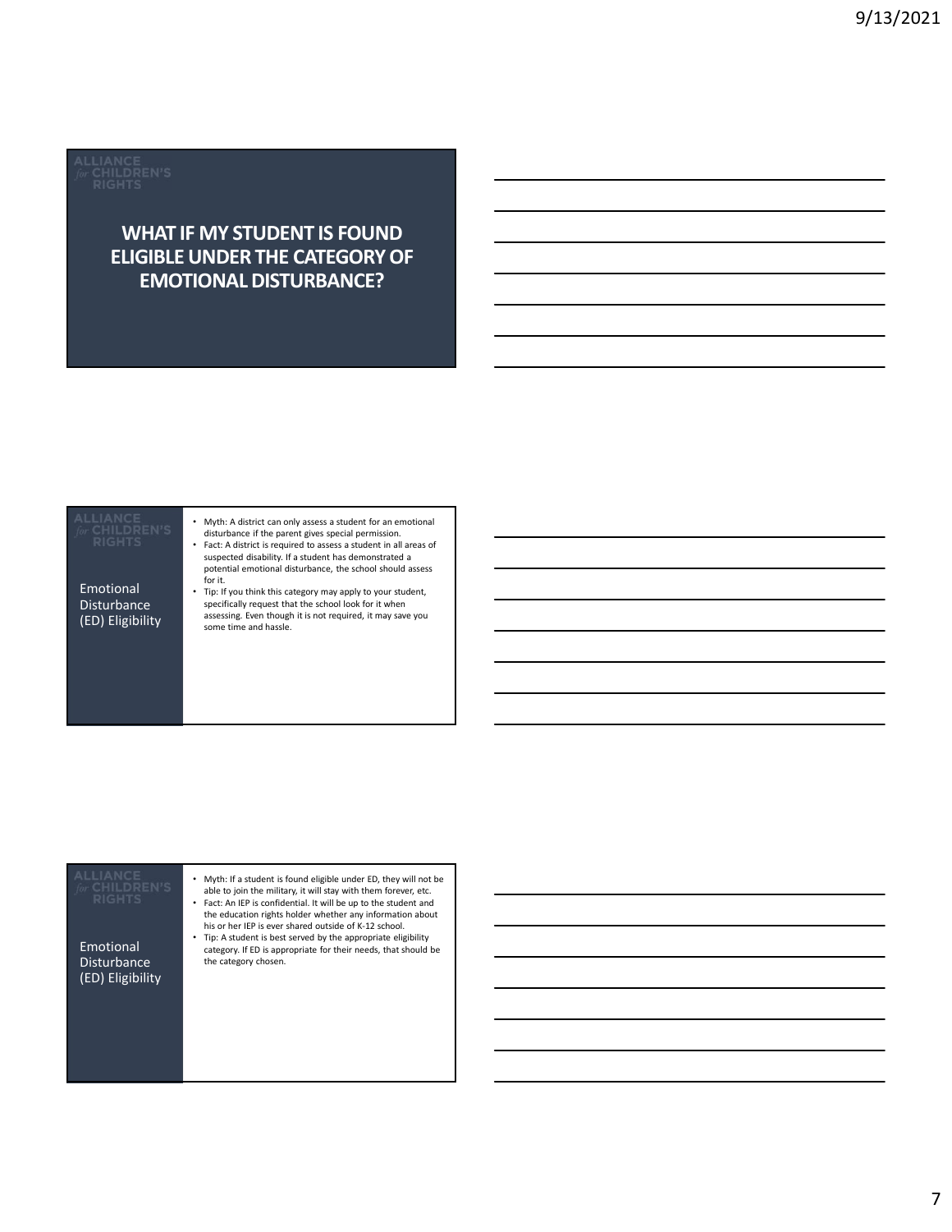### WHAT IF MY STUDENT IS FOUND ELIGIBLE UNDER THE CATEGORY OF EMOTIONAL DISTURBANCE?

### Emotional • Tip: If you think this category may apply to your student, Disturbance<br>(ED) Eligibility (ED) Eligibility assessing. Even though it is not required, it may save you some time and hassle. • Myth: A district can only assess a student for an emotional disturbance if the parent gives special permission. • Fact: A district is required to assess a student in all areas of suspected disability. If a student has demonstrated a potential emotional disturbance, the school should assess for it. specifically request that the school look for it when

| CHILDRE<br><b>RIGHTS</b><br>Emotional<br><b>Disturbance</b><br>(ED) Eligibility | Myth: If a student is found eligible under ED, they will not be<br>able to join the military, it will stay with them forever, etc.<br>Fact: An IEP is confidential. It will be up to the student and<br>the education rights holder whether any information about<br>his or her IEP is ever shared outside of K-12 school.<br>Tip: A student is best served by the appropriate eligibility<br>category. If ED is appropriate for their needs, that should be<br>the category chosen. |  |
|---------------------------------------------------------------------------------|--------------------------------------------------------------------------------------------------------------------------------------------------------------------------------------------------------------------------------------------------------------------------------------------------------------------------------------------------------------------------------------------------------------------------------------------------------------------------------------|--|
|                                                                                 |                                                                                                                                                                                                                                                                                                                                                                                                                                                                                      |  |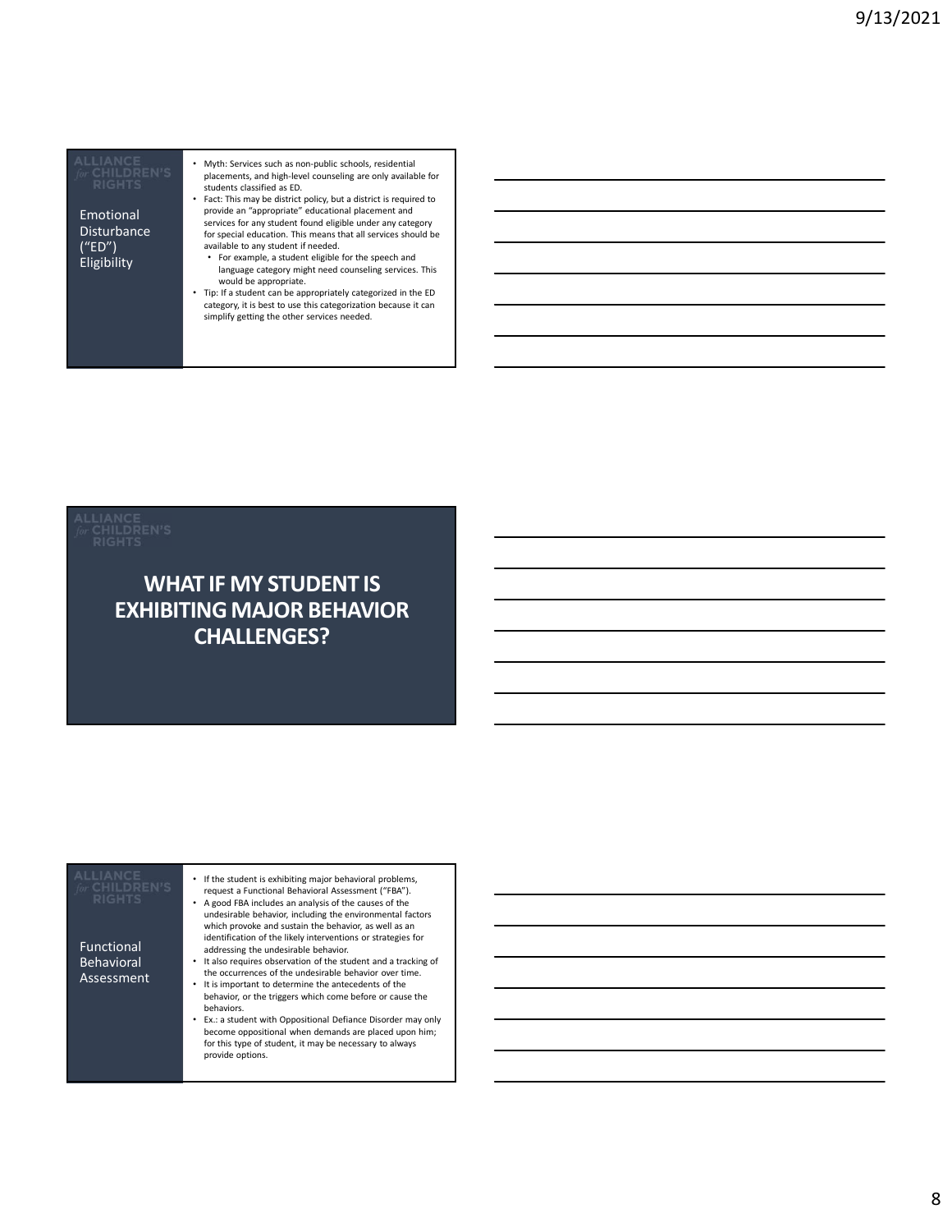Disturbance for special educ ("ED")

• Myth: Services such as non-public schools, residential placements, and high-level counseling are only available for students classified as ED.

**Emotional Emotional Emotional** • Fact: This may be district policy, but a district is required to<br>provide an "appropriate" educational placement and<br>services for any student found eligible under any category<br>for special education. This means that all se

- example, a student eligible for the speech and<br>
represent the speech and the speech and the speech and counseling services. This available to any student if needed. language category might need counseling services. This
	- would be appropriate. • Tip: If a student can be appropriately categorized in the ED category, it is best to use this categorization because it can simplify getting the other services needed.

### WHAT IF MY STUDENT IS EXHIBITING MAJOR BEHAVIOR CHALLENGES?

| <b>ALLIANCE</b><br>CHILDREI<br><b>RIGHTS</b><br><b>Functional</b><br>Behavioral<br>Assessment | If the student is exhibiting major behavioral problems,<br>request a Functional Behavioral Assessment ("FBA").<br>A good FBA includes an analysis of the causes of the<br>undesirable behavior, including the environmental factors<br>which provoke and sustain the behavior, as well as an<br>identification of the likely interventions or strategies for<br>addressing the undesirable behavior.<br>It also requires observation of the student and a tracking of<br>the occurrences of the undesirable behavior over time.<br>It is important to determine the antecedents of the<br>behavior, or the triggers which come before or cause the<br>behaviors.<br>Ex.: a student with Oppositional Defiance Disorder may only<br>become oppositional when demands are placed upon him;<br>for this type of student, it may be necessary to always<br>provide options. |  |  |
|-----------------------------------------------------------------------------------------------|-------------------------------------------------------------------------------------------------------------------------------------------------------------------------------------------------------------------------------------------------------------------------------------------------------------------------------------------------------------------------------------------------------------------------------------------------------------------------------------------------------------------------------------------------------------------------------------------------------------------------------------------------------------------------------------------------------------------------------------------------------------------------------------------------------------------------------------------------------------------------|--|--|
|-----------------------------------------------------------------------------------------------|-------------------------------------------------------------------------------------------------------------------------------------------------------------------------------------------------------------------------------------------------------------------------------------------------------------------------------------------------------------------------------------------------------------------------------------------------------------------------------------------------------------------------------------------------------------------------------------------------------------------------------------------------------------------------------------------------------------------------------------------------------------------------------------------------------------------------------------------------------------------------|--|--|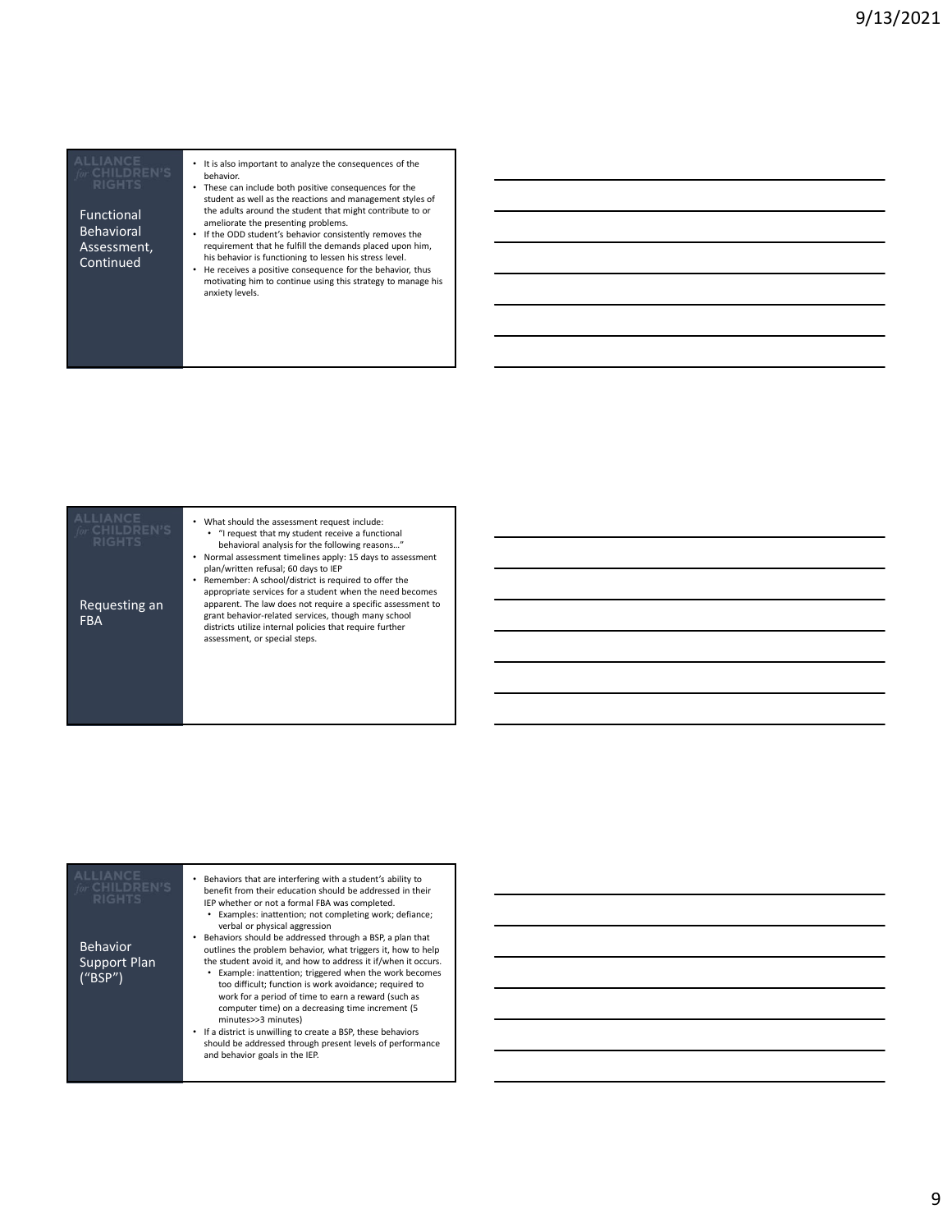**Functional** the adults are Behavioral · If the ODD stu Assessment,<br>Continued

<u> 1989 - Johann Stein, mars ar yn y brening y brening yn y brening y brening yn y brening y brening yn y brenin</u>

- It is also important to analyze the consequences of the behavior. • These can include both positive consequences for the
	- student as well as the reactions and management styles of the adults around the student that might contribute to or<br>
	ameliorate the presenting problems.<br>
	• If the ODD student's behavior consistently removes the
- Continued **Fig. 20. In the official consequence** of the behavior, thus<br>• He receives a positive consequence for the behavior, thus requirement that he fulfill the demands placed upon him, his behavior is functioning to lessen his stress level.
	- motivating him to continue using this strategy to manage his anxiety levels.

| <b>RIGHTS</b>               | What should the assessment request include:<br>• "I request that my student receive a functional<br>behavioral analysis for the following reasons"<br>Normal assessment timelines apply: 15 days to assessment<br>plan/written refusal; 60 days to IEP<br>Remember: A school/district is required to offer the<br>appropriate services for a student when the need becomes |  |
|-----------------------------|----------------------------------------------------------------------------------------------------------------------------------------------------------------------------------------------------------------------------------------------------------------------------------------------------------------------------------------------------------------------------|--|
| Requesting an<br><b>FBA</b> | apparent. The law does not require a specific assessment to<br>grant behavior-related services, though many school<br>districts utilize internal policies that require further<br>assessment, or special steps.                                                                                                                                                            |  |

| <b>ALLIANCE</b><br>for CHILDREN'S<br><b>RIGHTS</b> | Behaviors that are interfering with a student's ability to<br>benefit from their education should be addressed in their<br>IEP whether or not a formal FBA was completed.<br>Examples: inattention; not completing work; defiance;<br>verbal or physical aggression                                                                                                                                                      |  |
|----------------------------------------------------|--------------------------------------------------------------------------------------------------------------------------------------------------------------------------------------------------------------------------------------------------------------------------------------------------------------------------------------------------------------------------------------------------------------------------|--|
| <b>Behavior</b><br>Support Plan<br>("BSP")         | Behaviors should be addressed through a BSP, a plan that<br>outlines the problem behavior, what triggers it, how to help<br>the student avoid it, and how to address it if/when it occurs.<br>Example: inattention; triggered when the work becomes<br>too difficult; function is work avoidance; required to<br>work for a period of time to earn a reward (such as<br>computer time) on a decreasing time increment (5 |  |
|                                                    | minutes>>3 minutes)<br>If a district is unwilling to create a BSP, these behaviors<br>٠<br>should be addressed through present levels of performance<br>and behavior goals in the IEP.                                                                                                                                                                                                                                   |  |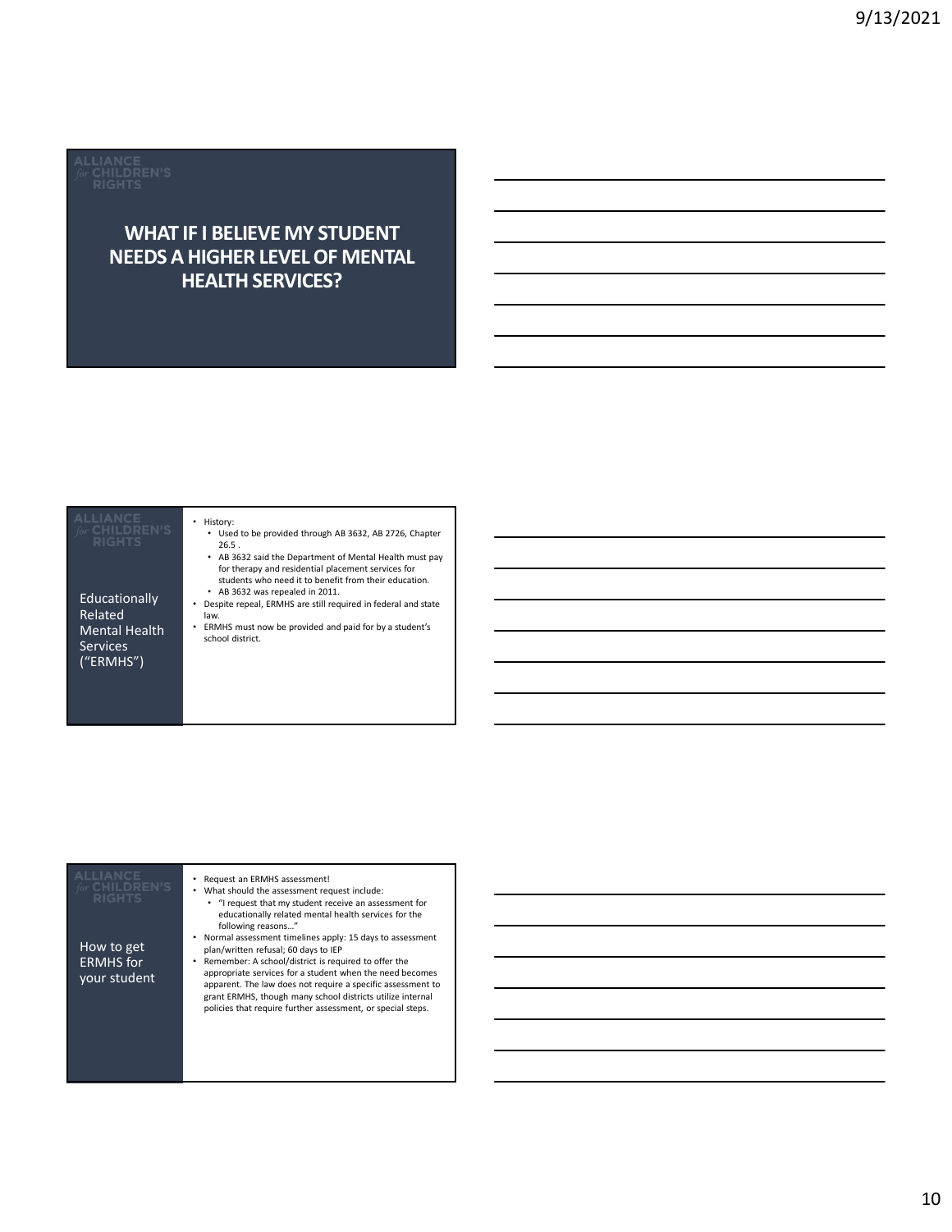### WHAT IF I BELIEVE MY STUDENT NEEDS A HIGHER LEVEL OF MENTAL HEALTH SERVICES?

• History:

Educationally Related **Figure 1** law. Mental Health  $\cdot$  ERMHS must n Services ("ERMHS")

- Used to be provided through AB 3632, AB 2726, Chapter 26.5 . • AB 3632 said the Department of Mental Health must pay
- for therapy and residential placement services for students who need it to benefit from their education. • AB 3632 was repealed in 2011.
- Despite repeal, ERMHS are still required in federal and state
- ERMHS must now be provided and paid for by a student's

### • Request an ERMHS assessment! • What should the assessment request include: • "I request that my student receive an assessment for educationally related mental health services for the following reasons…" • Normal assessment timelines apply: 15 days to assessment plan/written refusal; 60 days to IEP • Remember: A school/district is required to offer the appropriate services for a student when the need becomes apparent. The law does not require a specific assessment to grant ERMHS, though many school districts utilize internal policies that require further assessment, or special steps. How to get ERMHS for your student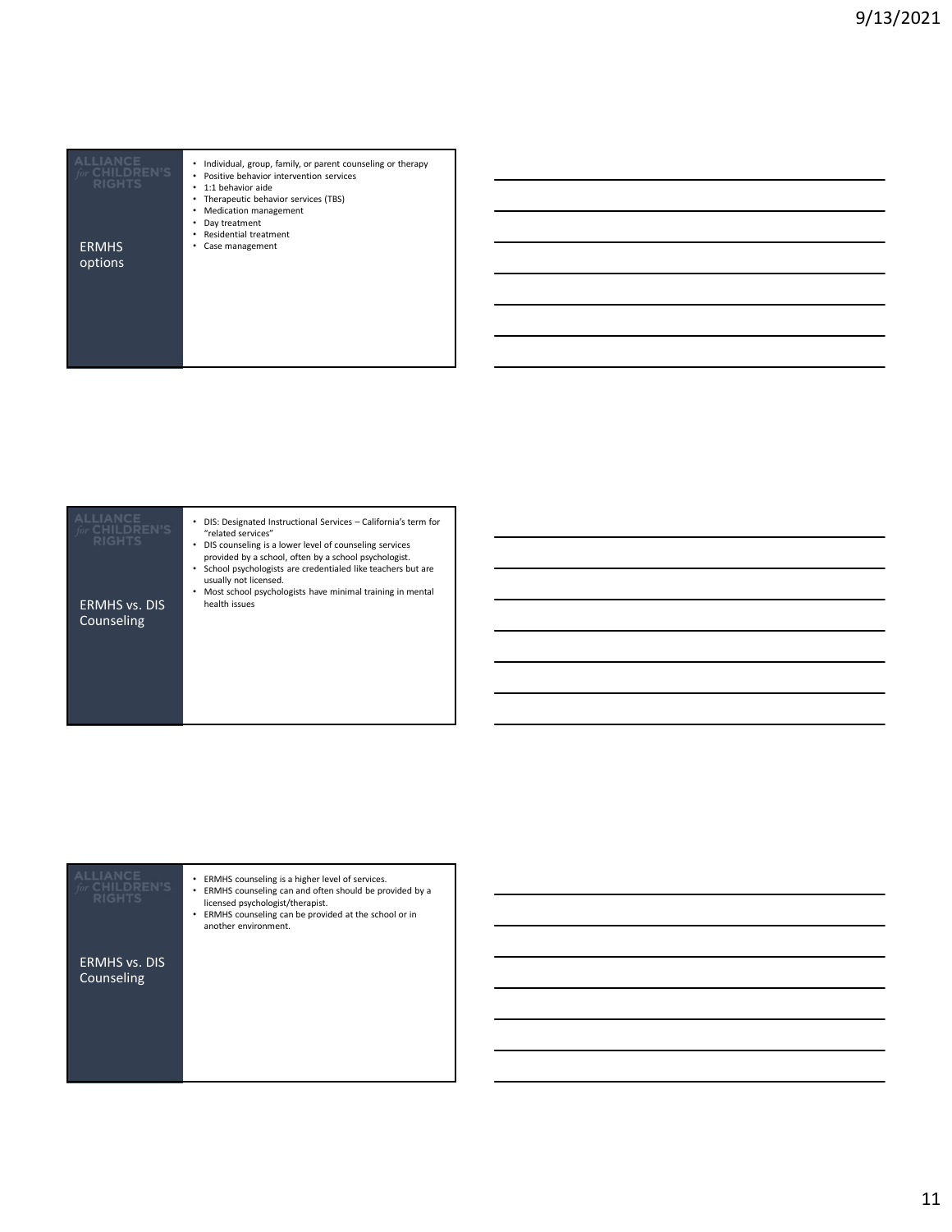| <b>ALLIANCE</b><br>for CHILDREN'S<br><b>RIGHTS</b> | • Individual, group, family, or parent counseling or therapy<br>• Positive behavior intervention services<br>• 1:1 behavior aide<br>• Therapeutic behavior services (TBS)<br>• Medication management |  |
|----------------------------------------------------|------------------------------------------------------------------------------------------------------------------------------------------------------------------------------------------------------|--|
| <b>ERMHS</b>                                       | • Day treatment<br>• Residential treatment<br>• Case management                                                                                                                                      |  |
| options                                            |                                                                                                                                                                                                      |  |
|                                                    |                                                                                                                                                                                                      |  |
|                                                    |                                                                                                                                                                                                      |  |
|                                                    |                                                                                                                                                                                                      |  |
|                                                    |                                                                                                                                                                                                      |  |
|                                                    |                                                                                                                                                                                                      |  |
|                                                    |                                                                                                                                                                                                      |  |
|                                                    |                                                                                                                                                                                                      |  |
|                                                    |                                                                                                                                                                                                      |  |
| <b>ALLIANCE</b><br>for CHILDREN'S                  | • DIS: Designated Instructional Services - California's term for<br>"related services"                                                                                                               |  |
| <b>RIGHTS</b>                                      | • DIS counseling is a lower level of counseling services<br>provided by a school, often by a school psychologist.                                                                                    |  |
|                                                    | • School psychologists are credentialed like teachers but are<br>usually not licensed.                                                                                                               |  |
| <b>ERMHS vs. DIS</b>                               | • Most school psychologists have minimal training in mental<br>health issues                                                                                                                         |  |
| Counseling                                         |                                                                                                                                                                                                      |  |

| HILDREN'S<br><b>RIGHTS</b>         | DIS: Designated Instructional Services - California's term for<br>"related services"<br>DIS counseling is a lower level of counseling services<br>provided by a school, often by a school psychologist.<br>School psychologists are credentialed like teachers but are<br>usually not licensed.<br>Most school psychologists have minimal training in mental |  |
|------------------------------------|--------------------------------------------------------------------------------------------------------------------------------------------------------------------------------------------------------------------------------------------------------------------------------------------------------------------------------------------------------------|--|
| <b>ERMHS vs. DIS</b><br>Counseling | health issues                                                                                                                                                                                                                                                                                                                                                |  |
|                                    |                                                                                                                                                                                                                                                                                                                                                              |  |

| <b>RIGHTS</b>                      | ERMHS counseling is a higher level of services.<br>ERMHS counseling can and often should be provided by a<br>licensed psychologist/therapist.<br>ERMHS counseling can be provided at the school or in<br>another environment. |  |
|------------------------------------|-------------------------------------------------------------------------------------------------------------------------------------------------------------------------------------------------------------------------------|--|
| <b>ERMHS vs. DIS</b><br>Counseling |                                                                                                                                                                                                                               |  |
|                                    |                                                                                                                                                                                                                               |  |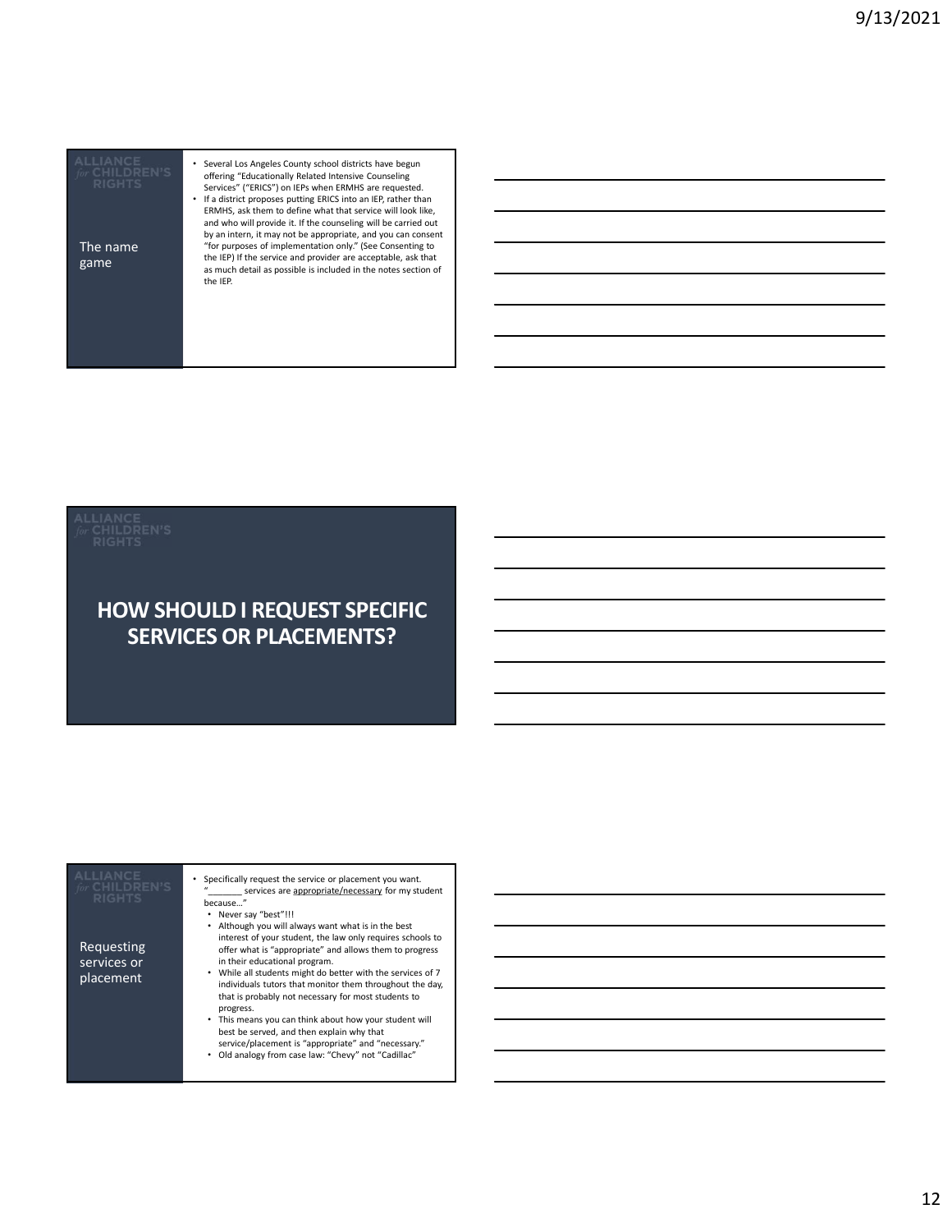| <b>RIGHTS</b>    | Several Los Angeles County school districts have begun<br>offering "Educationally Related Intensive Counseling<br>Services" ("ERICS") on IEPs when ERMHS are requested.<br>If a district proposes putting ERICS into an IEP, rather than<br>ERMHS, ask them to define what that service will look like,<br>and who will provide it. If the counseling will be carried out<br>by an intern, it may not be appropriate, and you can consent |  |
|------------------|-------------------------------------------------------------------------------------------------------------------------------------------------------------------------------------------------------------------------------------------------------------------------------------------------------------------------------------------------------------------------------------------------------------------------------------------|--|
| The name<br>game | "for purposes of implementation only." (See Consenting to<br>the IEP) If the service and provider are acceptable, ask that<br>as much detail as possible is included in the notes section of<br>the IEP.                                                                                                                                                                                                                                  |  |
|                  |                                                                                                                                                                                                                                                                                                                                                                                                                                           |  |
|                  |                                                                                                                                                                                                                                                                                                                                                                                                                                           |  |

### HOW SHOULD I REQUEST SPECIFIC SERVICES OR PLACEMENTS?

| <b>ALLIANCE</b><br>for CHILDREN'S<br><b>RIGHTS</b><br><b>HOW SHOULD I REQUEST SPECIFIC</b><br><b>SERVICES OR PLACEMENTS?</b>                                                                                                                                                                                                                                                                                                                                                                                                                                                                                                                                                                                                                                                                                                                                                             |  |
|------------------------------------------------------------------------------------------------------------------------------------------------------------------------------------------------------------------------------------------------------------------------------------------------------------------------------------------------------------------------------------------------------------------------------------------------------------------------------------------------------------------------------------------------------------------------------------------------------------------------------------------------------------------------------------------------------------------------------------------------------------------------------------------------------------------------------------------------------------------------------------------|--|
| <b>ALLIANCE</b><br>• Specifically request the service or placement you want.<br>for CHILDREN'S<br>services are appropriate/necessary for my student<br><b>RIGHTS</b><br>because"<br>• Never say "best"!!!<br>• Although you will always want what is in the best<br>interest of your student, the law only requires schools to<br>Requesting<br>offer what is "appropriate" and allows them to progress<br>services or<br>in their educational program.<br>• While all students might do better with the services of 7<br>placement<br>individuals tutors that monitor them throughout the day,<br>that is probably not necessary for most students to<br>progress.<br>• This means you can think about how your student will<br>best be served, and then explain why that<br>service/placement is "appropriate" and "necessary."<br>• Old analogy from case law: "Chevy" not "Cadillac" |  |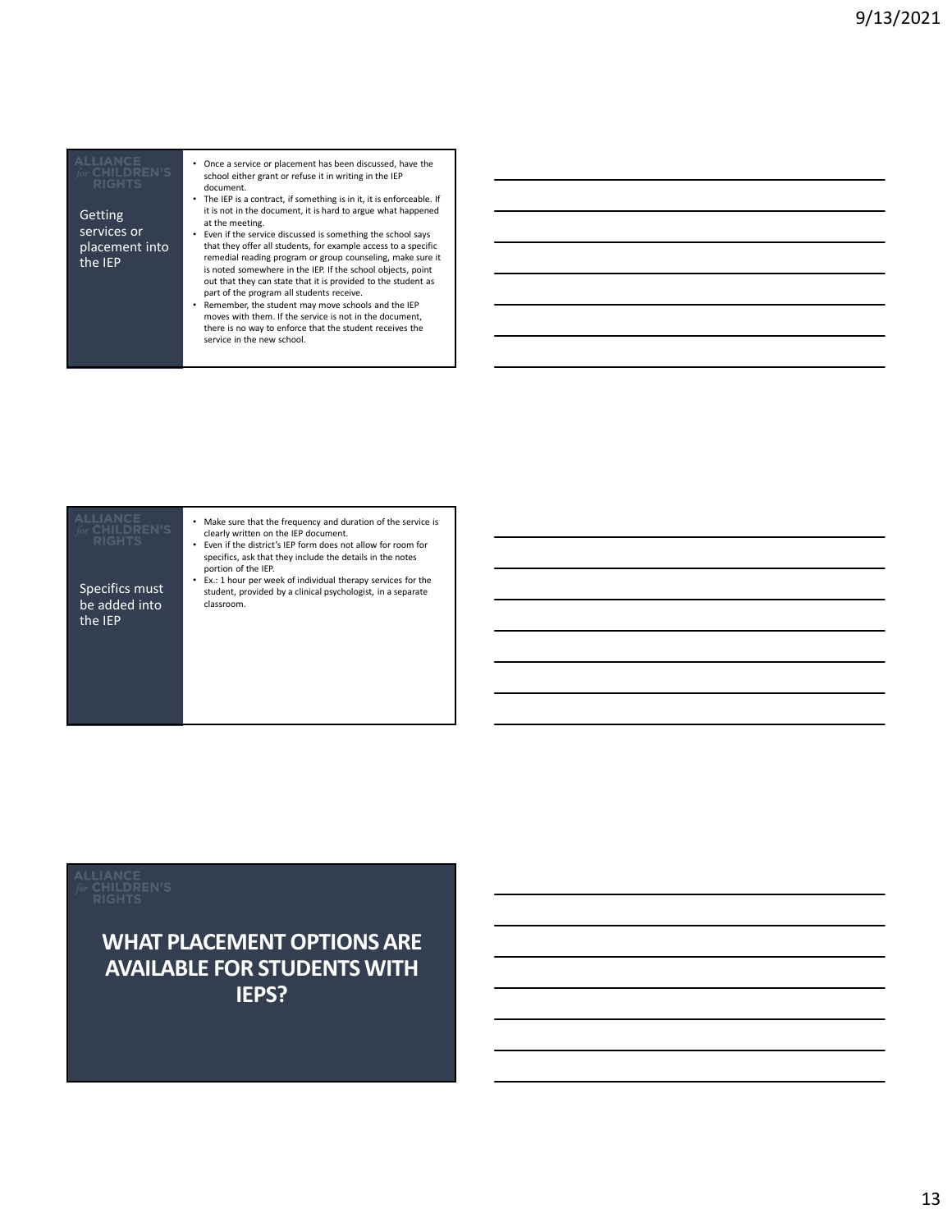placement into

- Once a service or placement has been discussed, have the school either grant or refuse it in writing in the IEP document.
- The IEP is a contract, if something is in it, it is enforceable. If it is not in the document, it is hard to argue what happened at the meeting. Services or **Example 20** Fig. Even if the service discussed is something the school says
- that they offer all students, for example access to a specific The IEP<br>
is noted somewhere in the IEP If the school objects, noint is noted somewhere in the IEP. If the school objects, point out that they can state that it is provided to the student as part of the program all students receive. Getting<br>
services or<br>
the meeting.<br>
then the service discussed is something the school says<br>
placement into<br>
that they offer all students, for example access to a specif<br>
the IEP<br>
shoted somewhere in the EP. If the school
	- Remember, the student may move schools and the IEP moves with them. If the service is not in the document, there is no way to enforce that the student receives the

be added into the IEP

• Make sure that the frequency and duration of the service is clearly written on the IEP document.

- Even if the district's IEP form does not allow for room for specifics, ask that they include the details in the notes portion of the IEP.
- Ex.: 1 hour per week of individual therapy services for the Specifics must<br>be added into the student, provided by a clinical psychologist, in a separate<br>be added into classroom.

### WHAT PLACEMENT OPTIONS ARE AVAILABLE FOR STUDENTS WITH IEPS?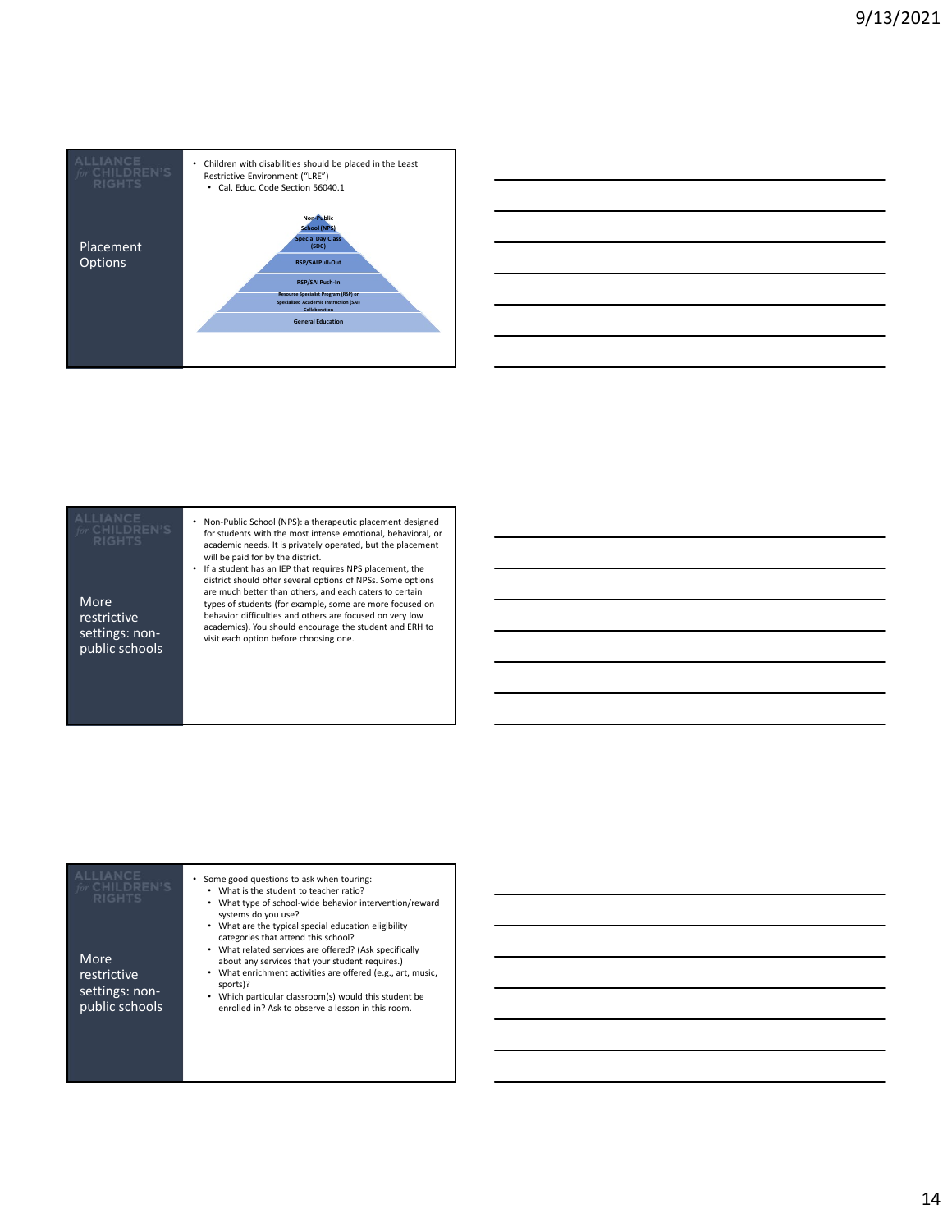

| <u>  La construcción de la construcción de la construcción de la construcción de la construcción de la construcció</u> |  |
|------------------------------------------------------------------------------------------------------------------------|--|
|                                                                                                                        |  |
|                                                                                                                        |  |

More restrictive settings: nonpublic schools

- Non-Public School (NPS): a therapeutic placement designed for students with the most intense emotional, behavioral, or academic needs. It is privately operated, but the placement will be paid for by the district.<br>• If a student has an IEP that requires NPS placement, the **will be a student of the student**
- district should offer several options of NPSs. Some options are much better than others, and each caters to certain types of students (for example, some are more focused on behavior difficulties and others are focused on very low academics). You should encourage the student and ERH to visit each option before choosing one.

| ALLIANCE<br>for CHILDREN'S<br><b>RIGHTS</b><br>More<br>restrictive<br>settings: non-<br>public schools | Some good questions to ask when touring:<br>What is the student to teacher ratio?<br>What type of school-wide behavior intervention/reward<br>systems do you use?<br>What are the typical special education eligibility<br>categories that attend this school?<br>• What related services are offered? (Ask specifically<br>about any services that your student requires.)<br>What enrichment activities are offered (e.g., art, music,<br>sports)?<br>Which particular classroom(s) would this student be<br>enrolled in? Ask to observe a lesson in this room. |  |
|--------------------------------------------------------------------------------------------------------|-------------------------------------------------------------------------------------------------------------------------------------------------------------------------------------------------------------------------------------------------------------------------------------------------------------------------------------------------------------------------------------------------------------------------------------------------------------------------------------------------------------------------------------------------------------------|--|
|                                                                                                        |                                                                                                                                                                                                                                                                                                                                                                                                                                                                                                                                                                   |  |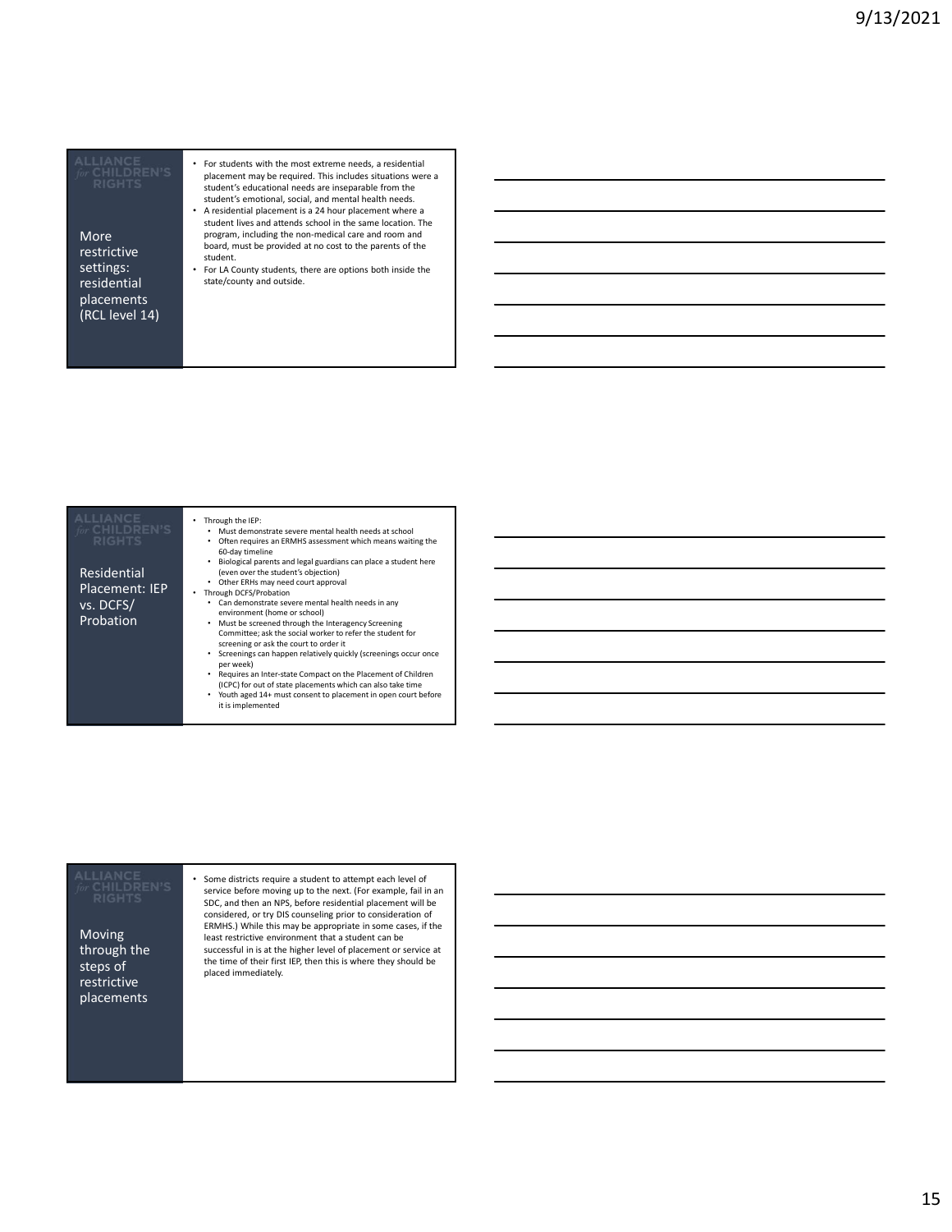More restrictive residential placements (RCL level 14)

- For students with the most extreme needs, a residential placement may be required. This includes situations were a student's educational needs are inseparable from the student's emotional, social, and mental health needs.
- A residential placement is a 24 hour placement where a student lives and attends school in the same location. The program, including the non-medical care and room and board, must be provided at no cost to the parents of the student.
- Settings: For LA County students, there are options both inside the **Settings:** state/county and outside.

| <b>ALLIANCE</b><br>for CHILDREN'S<br><b>RIGHTS</b> | Through the IEP:<br>Must demonstrate severe mental health needs at school<br>Often requires an ERMHS assessment which means waiting the<br>60-day timeline<br>Biological parents and legal guardians can place a student here |  |
|----------------------------------------------------|-------------------------------------------------------------------------------------------------------------------------------------------------------------------------------------------------------------------------------|--|
| Residential                                        | (even over the student's objection)                                                                                                                                                                                           |  |
| Placement: IEP                                     | Other ERHs may need court approval                                                                                                                                                                                            |  |
|                                                    | Through DCFS/Probation<br>٠                                                                                                                                                                                                   |  |
| vs. DCFS/                                          | Can demonstrate severe mental health needs in any                                                                                                                                                                             |  |
| Probation                                          | environment (home or school)                                                                                                                                                                                                  |  |
|                                                    | Must be screened through the Interagency Screening<br>Committee; ask the social worker to refer the student for<br>screening or ask the court to order it<br>Screenings can happen relatively quickly (screenings occur once  |  |
|                                                    | per week)                                                                                                                                                                                                                     |  |
|                                                    | Requires an Inter-state Compact on the Placement of Children<br>(ICPC) for out of state placements which can also take time                                                                                                   |  |
|                                                    | Youth aged 14+ must consent to placement in open court before<br>it is implemented                                                                                                                                            |  |

Moving through the steps of restrictive placements

• Some districts require a student to attempt each level of service before moving up to the next. (For example, fail in an SDC, and then an NPS, before residential placement will be considered, or try DIS counseling prior to consideration of ERMHS.) While this may be appropriate in some cases, if the least restrictive environment that a student can be successful in is at the higher level of placement or service at the time of their first IEP, then this is where they should be placed immediately.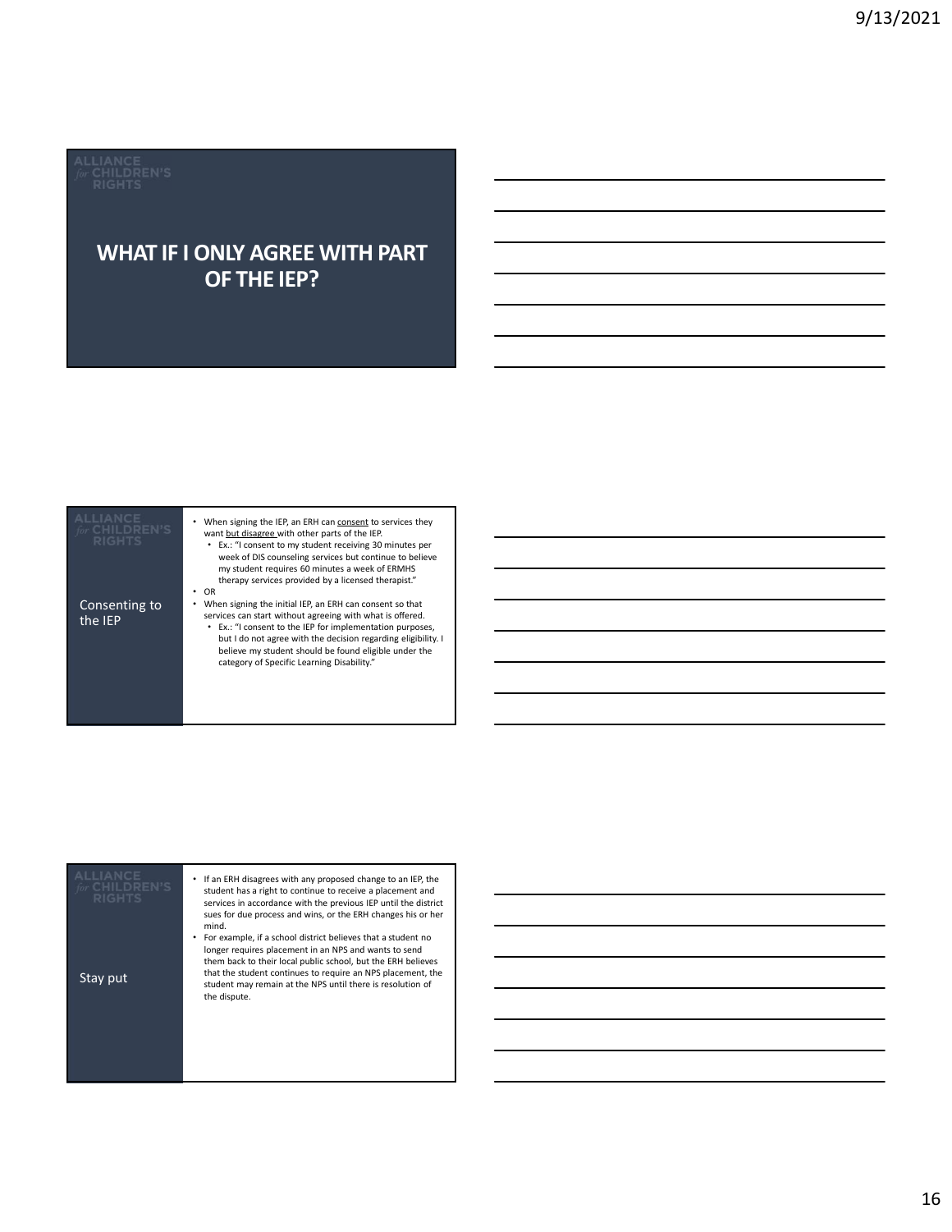# WHAT IF I ONLY AGREE WITH PART OF THE IEP?

| LIANCE<br><b>CHILDREN'S</b><br><b>RIGHTS</b><br><b>WHAT IF I ONLY AGREE WITH PART</b><br>OF THE IEP?                                                                                                                                                                                                                                                                                                                                                                                                                                                                                                                                                                                                                                                                                              |  |
|---------------------------------------------------------------------------------------------------------------------------------------------------------------------------------------------------------------------------------------------------------------------------------------------------------------------------------------------------------------------------------------------------------------------------------------------------------------------------------------------------------------------------------------------------------------------------------------------------------------------------------------------------------------------------------------------------------------------------------------------------------------------------------------------------|--|
| LIANCE.<br>• When signing the IEP, an ERH can consent to services they<br><b>CHILDREN'S</b><br>want but disagree with other parts of the IEP.<br>RIGHTS<br>• Ex.: "I consent to my student receiving 30 minutes per<br>week of DIS counseling services but continue to believe<br>my student requires 60 minutes a week of ERMHS<br>therapy services provided by a licensed therapist."<br>$\cdot$ OR<br>Consenting to<br>• When signing the initial IEP, an ERH can consent so that<br>services can start without agreeing with what is offered.<br>the IEP<br>• Ex.: "I consent to the IEP for implementation purposes,<br>but I do not agree with the decision regarding eligibility. I<br>believe my student should be found eligible under the<br>category of Specific Learning Disability." |  |

| <b>AIIIANCE</b><br><b>RIGHTS</b> | If an ERH disagrees with any proposed change to an IEP, the<br>student has a right to continue to receive a placement and<br>services in accordance with the previous IEP until the district<br>sues for due process and wins, or the ERH changes his or her<br>mind.<br>For example, if a school district believes that a student no<br>longer requires placement in an NPS and wants to send |  |
|----------------------------------|------------------------------------------------------------------------------------------------------------------------------------------------------------------------------------------------------------------------------------------------------------------------------------------------------------------------------------------------------------------------------------------------|--|
| Stay put                         | them back to their local public school, but the ERH believes<br>that the student continues to require an NPS placement, the<br>student may remain at the NPS until there is resolution of<br>the dispute.                                                                                                                                                                                      |  |
|                                  |                                                                                                                                                                                                                                                                                                                                                                                                |  |
|                                  |                                                                                                                                                                                                                                                                                                                                                                                                |  |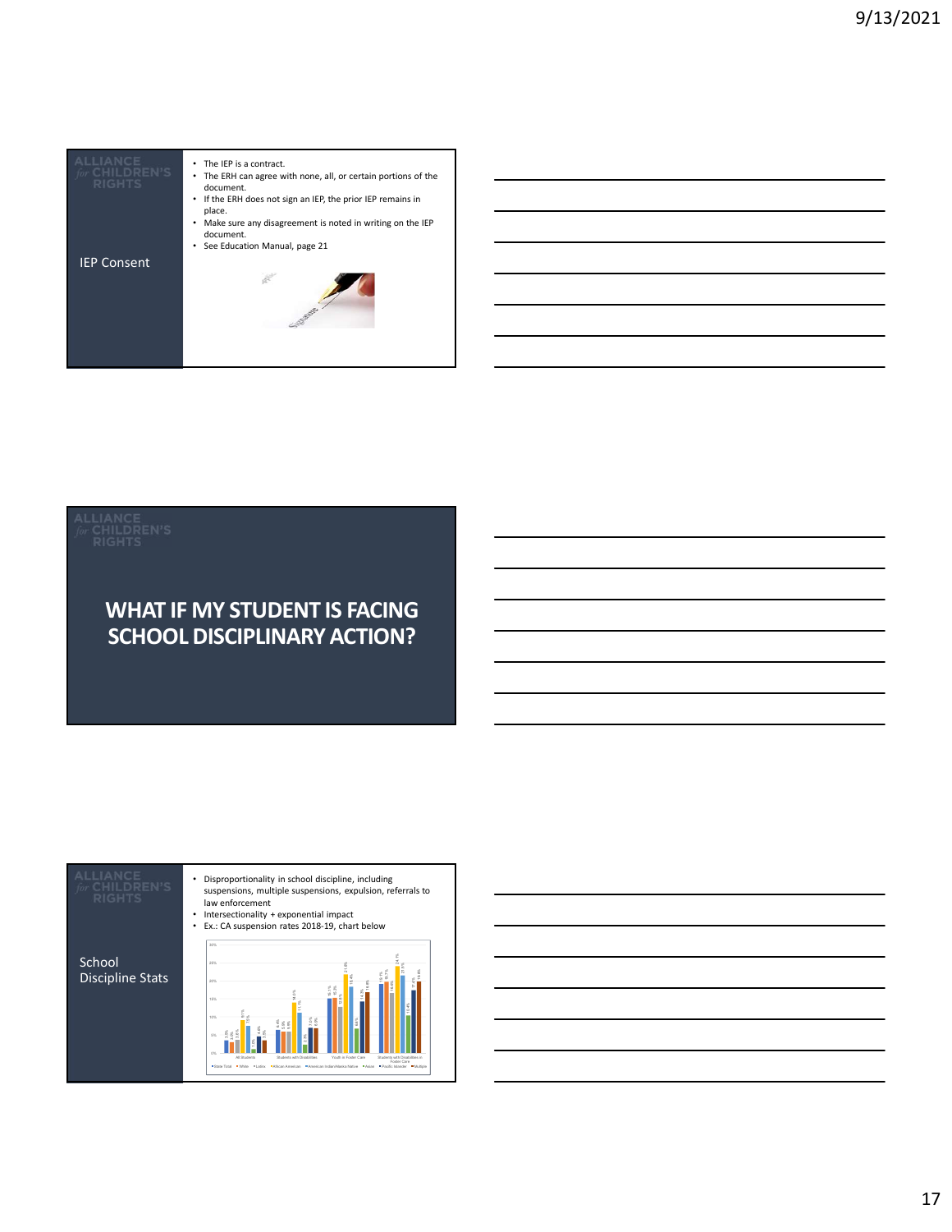

### WHAT IF MY STUDENT IS FACING SCHOOL DISCIPLINARY ACTION?

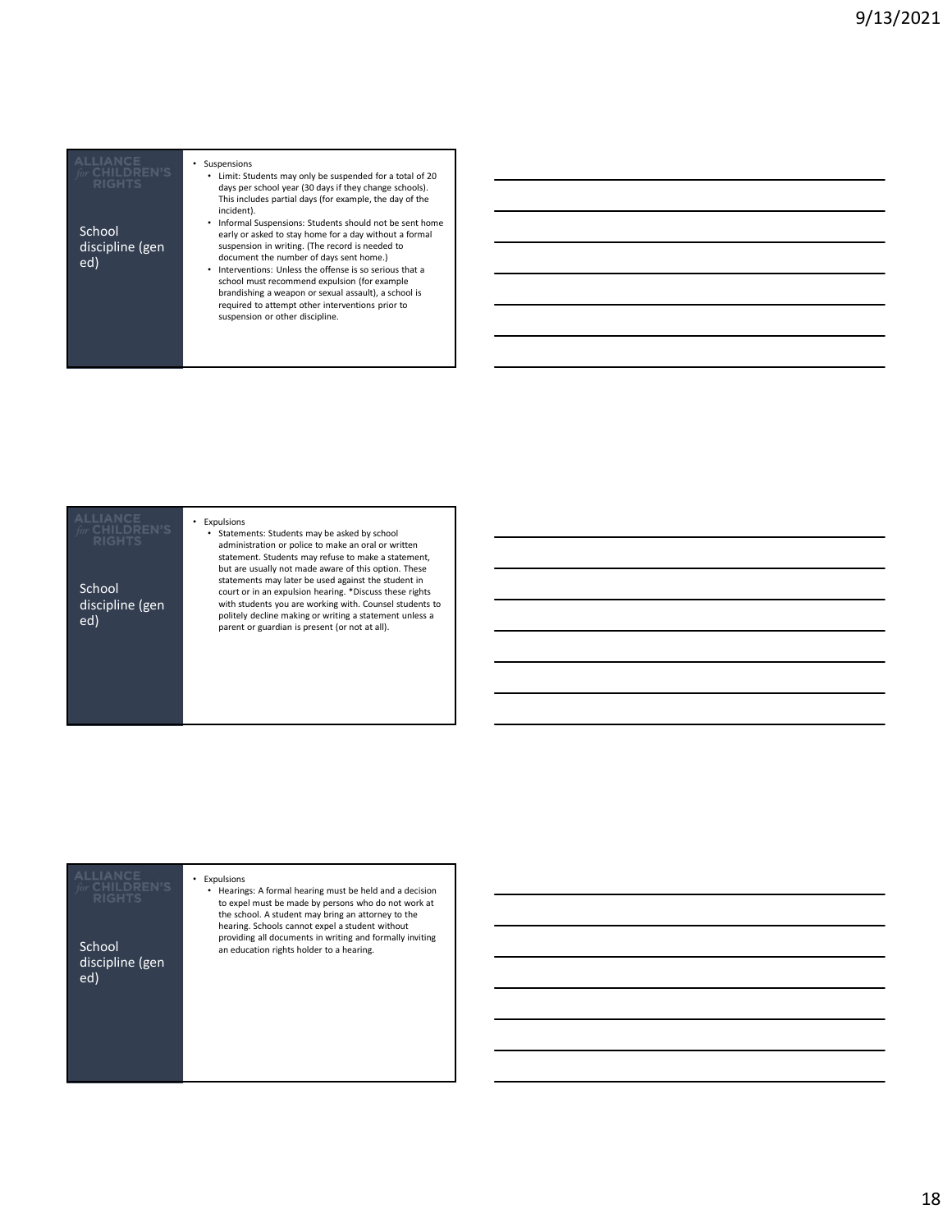|                         | Suspension<br>Limit: S |
|-------------------------|------------------------|
|                         | days p                 |
|                         | This in                |
|                         | incider                |
|                         | Inform                 |
| School                  | early o                |
| diccinling <i>(g</i> an | Susnen                 |

### • Suspensions Students may only be suspended for a total of 20 er school year (30 days if they change schools). icludes partial days (for example, the day of the

incident). • Informal Suspensions: Students should not be sent home or asked to stay home for a day without a formal discipline (gen suspension in writing. (The record is needed to **discription** document the number of days sent home.)

• Interventions: Unless the offense is so serious that a<br>school must recommend expulsion (for example<br>brandishing a weapon or sexual assault), a school is<br>required to attempt other interventions prior to suspension or other discipline. ed) document the number of days sent home.)<br>
• Interventions: Unless the offense is so serious that a

# • Statements: Students may be asked by school parent or guardian is present (or not at all). School discipline (gen ed)

• Expulsions

administration or police to make an oral or written statement. Students may refuse to make a statement, but are usually not made aware of this option. These actements may later be used against the student in court or in an expulsion hearing. \*Discuss these rights with students you are working with. Counsel students to an ann politely decline making or writing a statement unless a

| CHILDREN'S<br><b>RIGHTS</b><br>School<br>discipline (gen<br>ed) | Expulsions<br>٠<br>• Hearings: A formal hearing must be held and a decision<br>to expel must be made by persons who do not work at<br>the school. A student may bring an attorney to the<br>hearing. Schools cannot expel a student without<br>providing all documents in writing and formally inviting<br>an education rights holder to a hearing. |  |
|-----------------------------------------------------------------|-----------------------------------------------------------------------------------------------------------------------------------------------------------------------------------------------------------------------------------------------------------------------------------------------------------------------------------------------------|--|
|                                                                 |                                                                                                                                                                                                                                                                                                                                                     |  |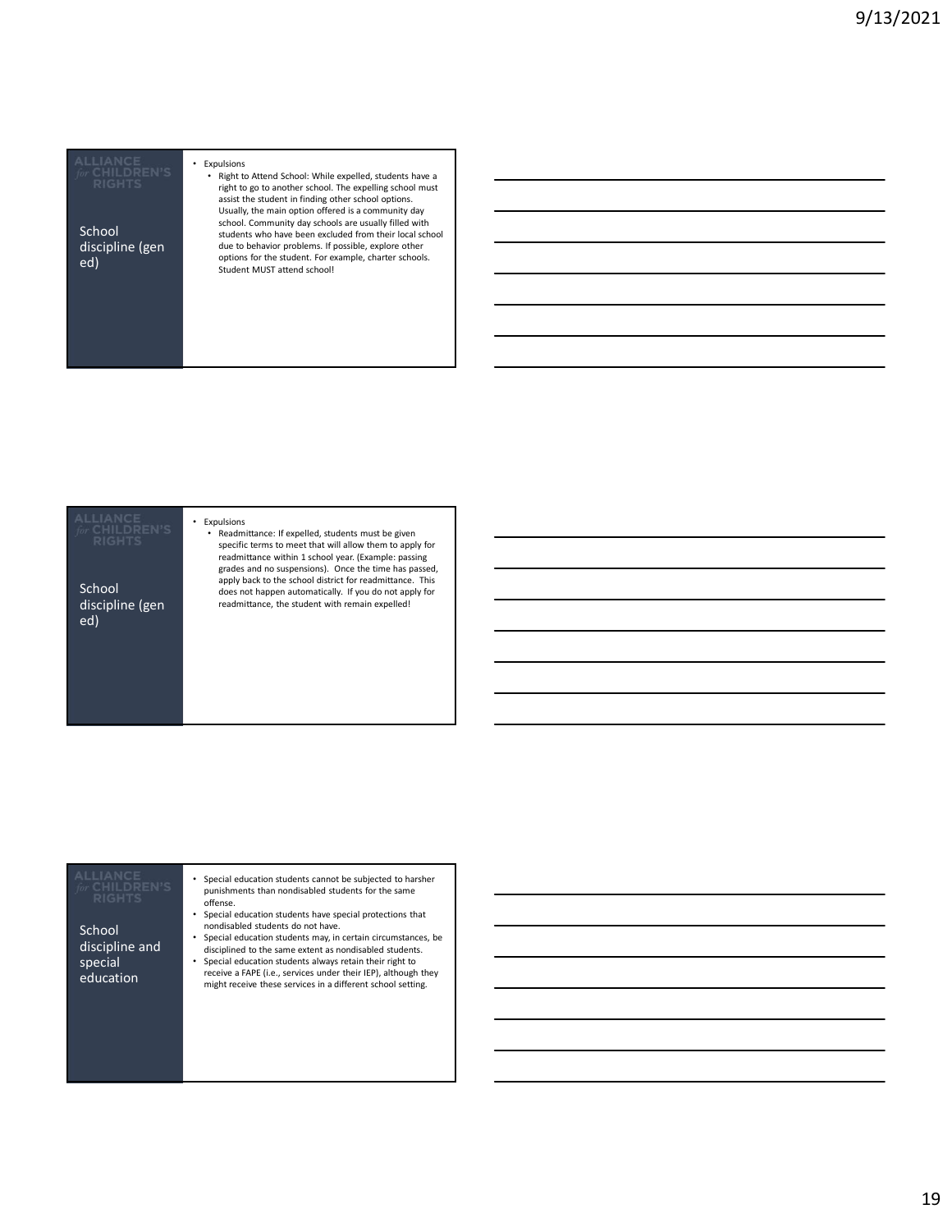# discipline (gen

### • Expulsions

• Right to Attend School: While expelled, students have a right to go to another school. The expelling school must assist the student in finding other school options. Usually, the main option offered is a community day school. Community day schools are usually filled with students who have been excluded from their local school<br>due to behavior problems. If possible, explore other School<br>
School students who have been excluded from their local school<br>
discipline (gen due to behavior problems. If possible, explore other<br>
options for the student. For example, charter schools.<br>
Student MUST attend scho

School discipline (gen ed)

• Expulsions

Readmittance: If expelled, students must be given specific terms to meet that will allow them to apply for readmittance within 1 school year. (Example: passing grades and no suspensions). Once the time has passed, apply back to the school district for readmittance. This does not happen automatically. If you do not apply for readmittance, the student with remain expelled!

**School** discipline and special education

- Special education students cannot be subjected to harsher punishments than nondisabled students for the same offense.
- Special education students have special protections that nondisabled students do not have.
- Special education students may, in certain circumstances, be disciplined to the same extent as nondisabled students.
- Special education students always retain their right to receive a FAPE (i.e., services under their IEP), although they might receive these services in a different school setting.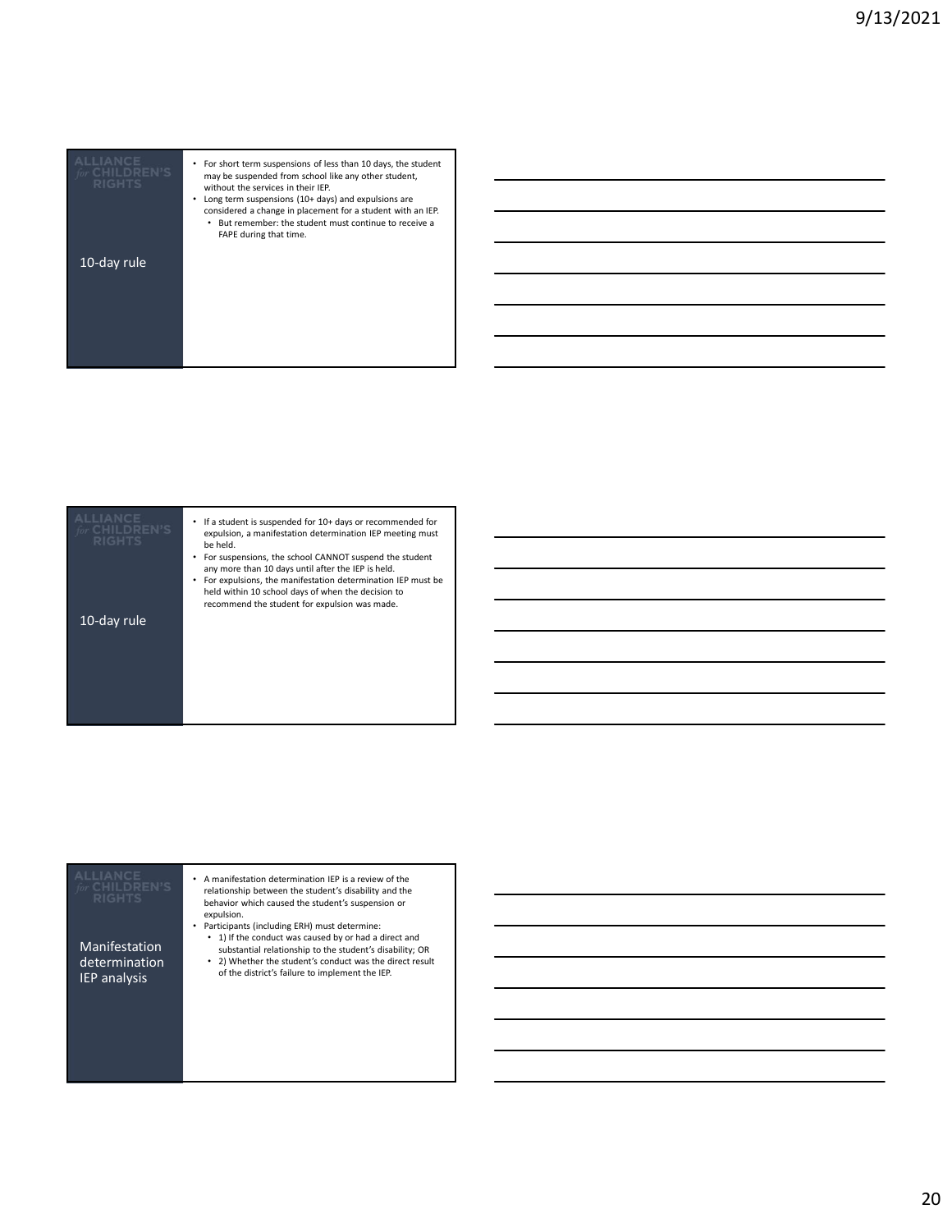| CHILDREN'S<br><b>RIGHTS</b> | For short term suspensions of less than 10 days, the student<br>may be suspended from school like any other student,<br>without the services in their IEP.<br>Long term suspensions (10+ days) and expulsions are<br>considered a change in placement for a student with an IEP.<br>But remember: the student must continue to receive a<br>٠<br>FAPE during that time. |  |
|-----------------------------|-------------------------------------------------------------------------------------------------------------------------------------------------------------------------------------------------------------------------------------------------------------------------------------------------------------------------------------------------------------------------|--|
| 10-day rule                 |                                                                                                                                                                                                                                                                                                                                                                         |  |
|                             |                                                                                                                                                                                                                                                                                                                                                                         |  |
|                             |                                                                                                                                                                                                                                                                                                                                                                         |  |

| <b>RIGHTS</b> | If a student is suspended for 10+ days or recommended for<br>٠<br>expulsion, a manifestation determination IEP meeting must<br>be held.<br>For suspensions, the school CANNOT suspend the student<br>any more than 10 days until after the IEP is held.<br>For expulsions, the manifestation determination IEP must be<br>held within 10 school days of when the decision to<br>recommend the student for expulsion was made. |  |
|---------------|-------------------------------------------------------------------------------------------------------------------------------------------------------------------------------------------------------------------------------------------------------------------------------------------------------------------------------------------------------------------------------------------------------------------------------|--|
| 10-day rule   |                                                                                                                                                                                                                                                                                                                                                                                                                               |  |
|               |                                                                                                                                                                                                                                                                                                                                                                                                                               |  |

| <b>RIGHTS</b><br>Manifestation<br>determination<br>IEP analysis | • A manifestation determination IEP is a review of the<br>relationship between the student's disability and the<br>behavior which caused the student's suspension or<br>expulsion.<br>Participants (including ERH) must determine:<br>• 1) If the conduct was caused by or had a direct and<br>substantial relationship to the student's disability; OR<br>• 2) Whether the student's conduct was the direct result<br>of the district's failure to implement the IEP. |  |  |
|-----------------------------------------------------------------|------------------------------------------------------------------------------------------------------------------------------------------------------------------------------------------------------------------------------------------------------------------------------------------------------------------------------------------------------------------------------------------------------------------------------------------------------------------------|--|--|
|-----------------------------------------------------------------|------------------------------------------------------------------------------------------------------------------------------------------------------------------------------------------------------------------------------------------------------------------------------------------------------------------------------------------------------------------------------------------------------------------------------------------------------------------------|--|--|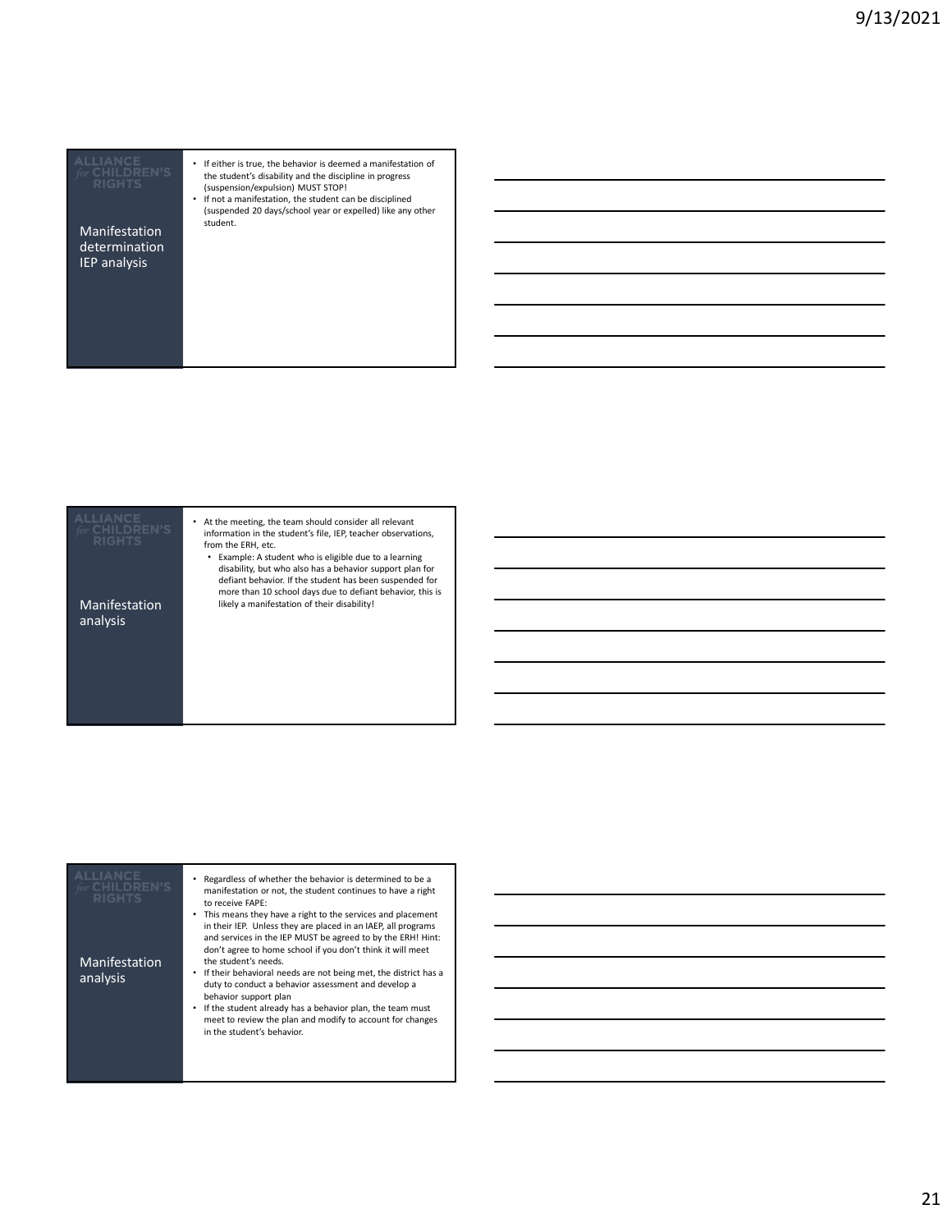determination IEP analysis

- If either is true, the behavior is deemed a manifestation of the student's disability and the discipline in progress (suspension/expulsion) MUST STOP!
- If not a manifestation, the student can be disciplined (suspended 20 days/school year or expelled) like any other<br>Manifestation student.

analysis

• At the meeting, the team should consider all relevant information in the student's file, IEP, teacher observations, from the ERH, etc.

• Example: A student who is eligible due to a learning disability, but who also has a behavior support plan for defiant behavior. If the student has been suspended for more than 10 school days due to defiant behavior, this is Manifestation likely a manifestation of their disability!

| <b>ALLIANCE</b><br>CHILDREN'S<br><b>RIGHTS</b><br>Manifestation<br>analysis | Regardless of whether the behavior is determined to be a<br>manifestation or not, the student continues to have a right<br>to receive FAPE:<br>• This means they have a right to the services and placement<br>in their IEP. Unless they are placed in an IAEP, all programs<br>and services in the IEP MUST be agreed to by the ERH! Hint:<br>don't agree to home school if you don't think it will meet<br>the student's needs.<br>If their behavioral needs are not being met, the district has a<br>duty to conduct a behavior assessment and develop a<br>behavior support plan<br>If the student already has a behavior plan, the team must<br>meet to review the plan and modify to account for changes |  |
|-----------------------------------------------------------------------------|----------------------------------------------------------------------------------------------------------------------------------------------------------------------------------------------------------------------------------------------------------------------------------------------------------------------------------------------------------------------------------------------------------------------------------------------------------------------------------------------------------------------------------------------------------------------------------------------------------------------------------------------------------------------------------------------------------------|--|
|                                                                             | in the student's behavior.                                                                                                                                                                                                                                                                                                                                                                                                                                                                                                                                                                                                                                                                                     |  |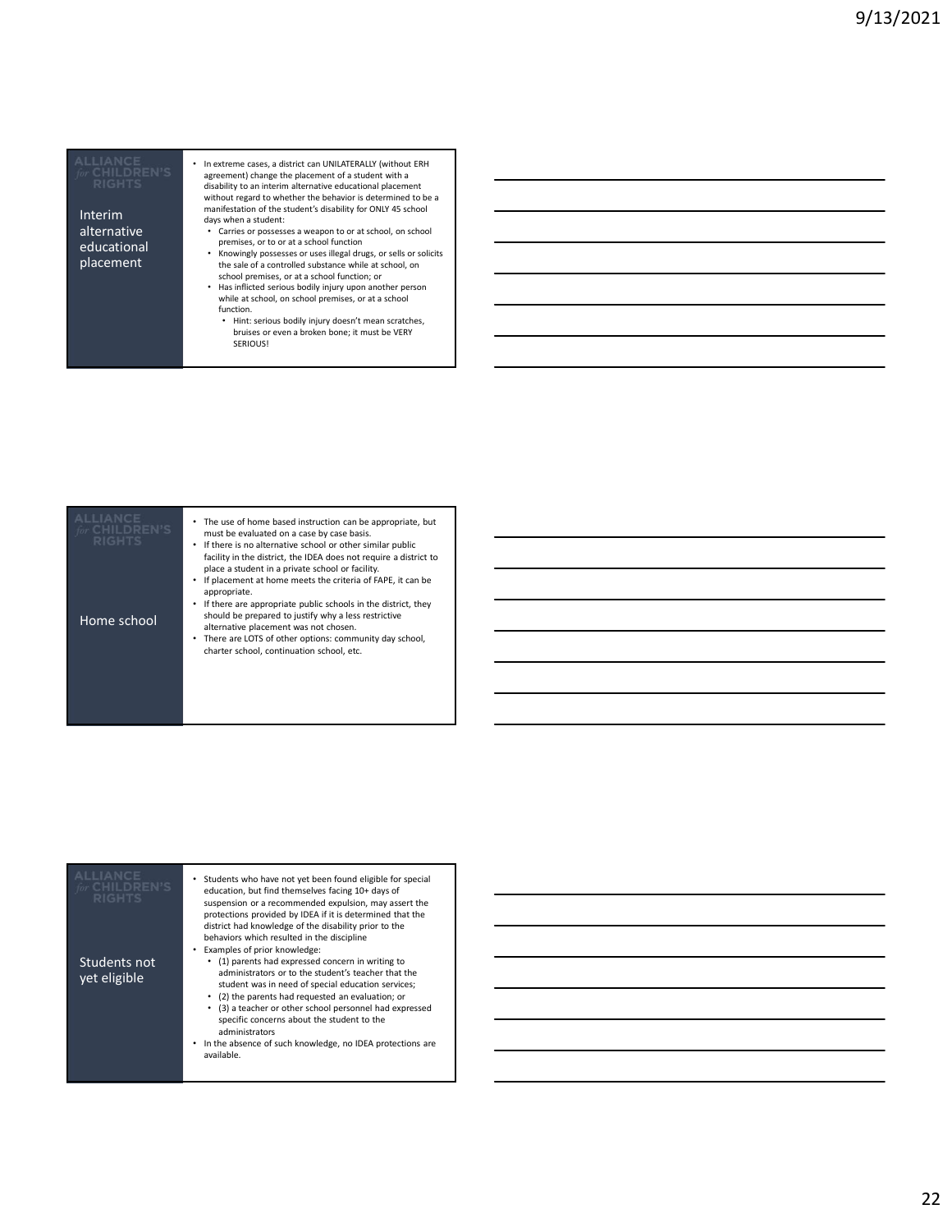Interim alternative educational

<u> 1989 - Johann Barnett, mars et al. 1989 - Anna ann an t-</u>

agreement) change the placement of a student with a  $\overline{\phantom{a}}$  and  $\overline{\phantom{a}}$  and  $\overline{\phantom{a}}$  and  $\overline{\phantom{a}}$  and  $\overline{\phantom{a}}$  are disability to an interim alternative educational placement without regard to whether the behavior is determined to be a manifestation of the student's disability for ONLY 45 school days when a student: • Carries or possesses a weapon to or at school, on school

• In extreme cases, a district can UNILATERALLY (without ERH

- premises, or to or at a school function • Knowingly possesses or uses illegal drugs, or sells or solicits
- placement<br>
the sale of a controlled substance while at school, on<br>
school premises, or at a school function; or • Has inflicted serious bodily injury upon another person
	- while at school, on school premises, or at a school function.
		- Hint: serious bodily injury doesn't mean scratches, bruises or even a broken bone; it must be VERY SERIOUS!

| <b>RIGHTS</b> | The use of home based instruction can be appropriate, but<br>٠<br>must be evaluated on a case by case basis.<br>If there is no alternative school or other similar public<br>٠<br>facility in the district, the IDEA does not require a district to<br>place a student in a private school or facility.<br>If placement at home meets the criteria of FAPE, it can be<br>٠<br>appropriate. |  |
|---------------|--------------------------------------------------------------------------------------------------------------------------------------------------------------------------------------------------------------------------------------------------------------------------------------------------------------------------------------------------------------------------------------------|--|
| Home school   | If there are appropriate public schools in the district, they<br>٠<br>should be prepared to justify why a less restrictive<br>alternative placement was not chosen.<br>There are LOTS of other options: community day school,<br>٠<br>charter school, continuation school, etc.                                                                                                            |  |

| <b>ALLIANCE</b><br>for CHILDREN'S<br><b>RIGHTS</b> | Students who have not yet been found eligible for special<br>education, but find themselves facing 10+ days of<br>suspension or a recommended expulsion, may assert the<br>protections provided by IDEA if it is determined that the<br>district had knowledge of the disability prior to the<br>behaviors which resulted in the discipline<br>Examples of prior knowledge:                                         |  |
|----------------------------------------------------|---------------------------------------------------------------------------------------------------------------------------------------------------------------------------------------------------------------------------------------------------------------------------------------------------------------------------------------------------------------------------------------------------------------------|--|
| Students not<br>vet eligible                       | (1) parents had expressed concern in writing to<br>administrators or to the student's teacher that the<br>student was in need of special education services;<br>(2) the parents had requested an evaluation; or<br>(3) a teacher or other school personnel had expressed<br>specific concerns about the student to the<br>administrators<br>In the absence of such knowledge, no IDEA protections are<br>available. |  |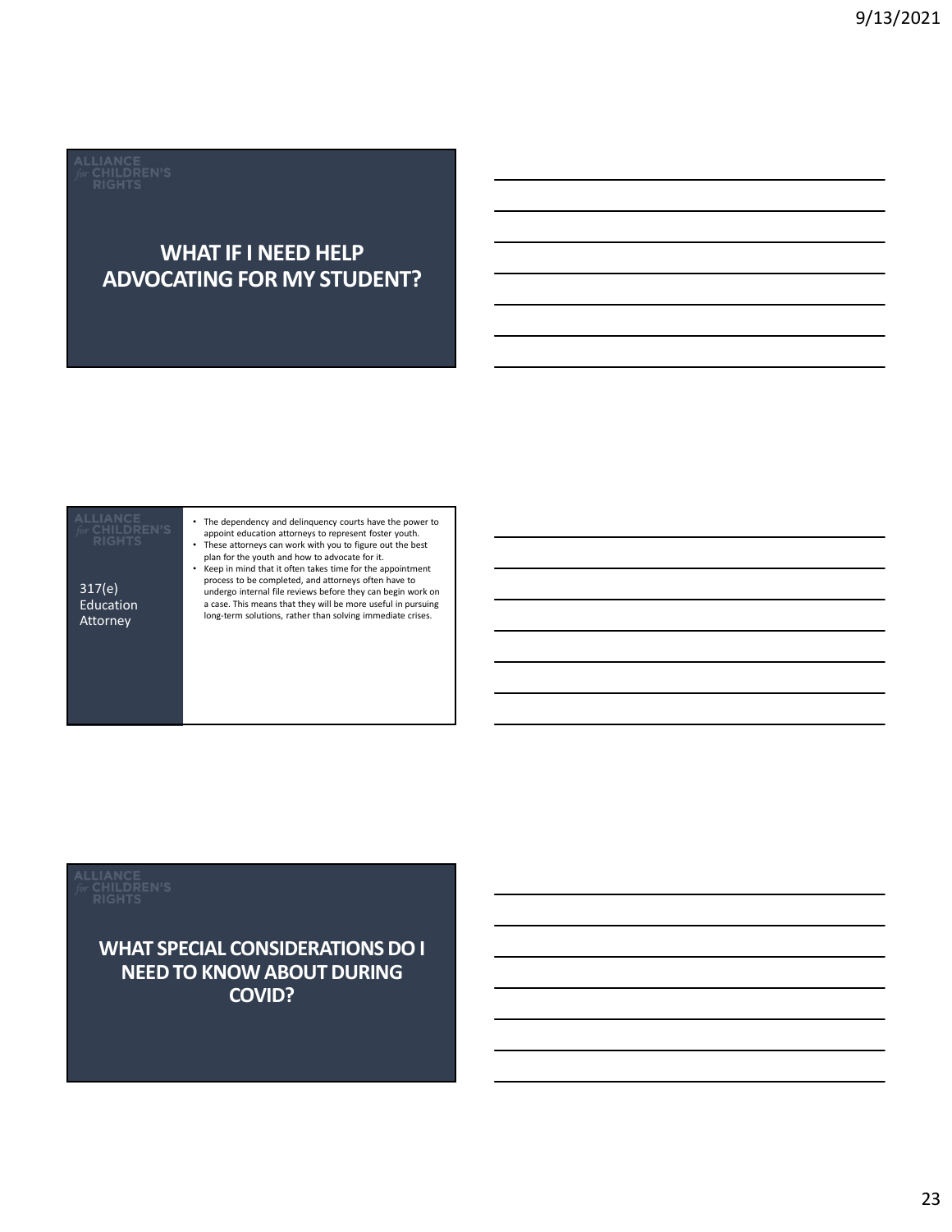### WHAT IF I NEED HELP ADVOCATING FOR MY STUDENT?



WHAT SPECIAL CONSIDERATIONS DO I NEED TO KNOW ABOUT DURING COVID?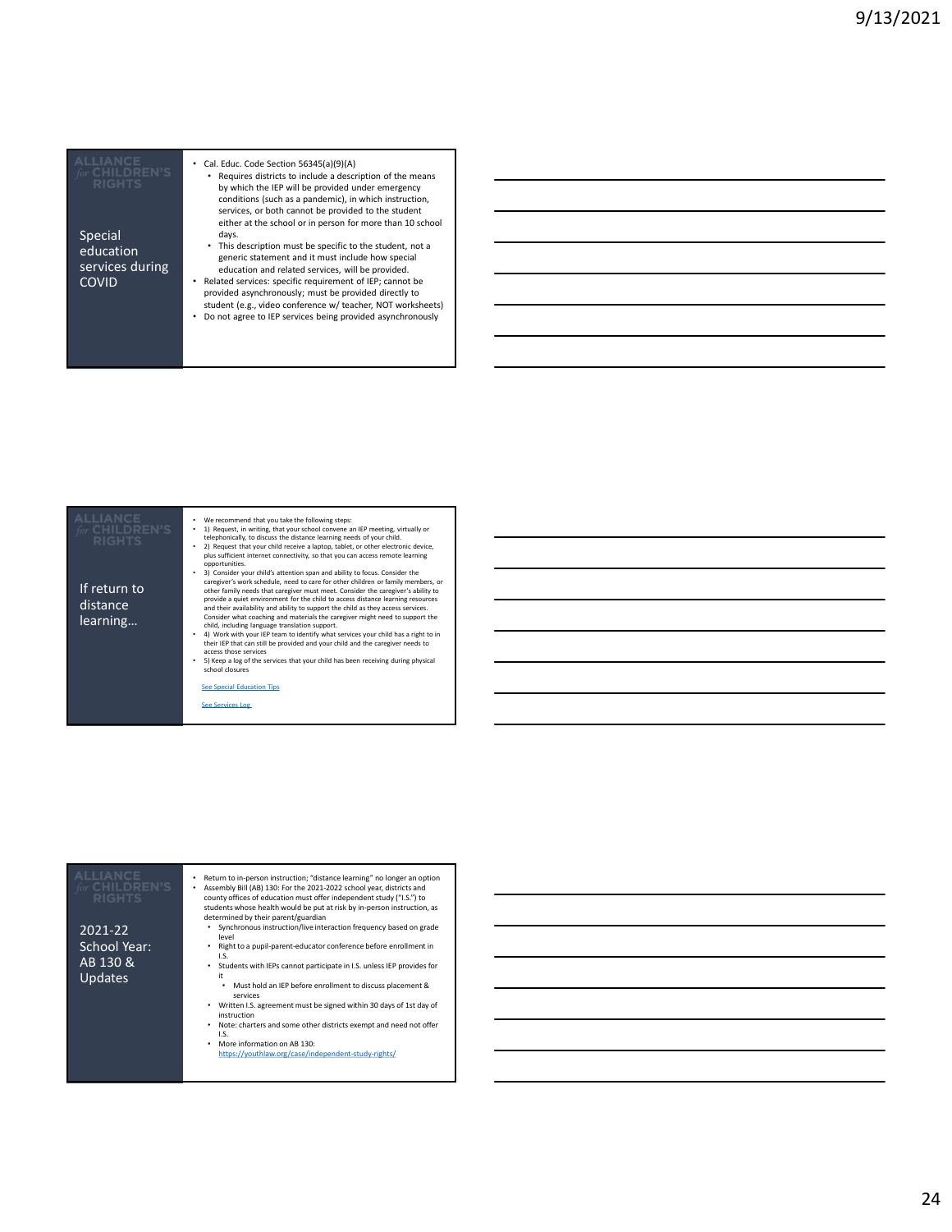| Special<br>education<br>services during<br><b>COVID</b>                       | • Cal. Educ. Code Section 56345(a)(9)(A)<br>• Requires districts to include a description of the means<br>by which the IEP will be provided under emergency<br>conditions (such as a pandemic), in which instruction,<br>services, or both cannot be provided to the student<br>either at the school or in person for more than 10 school<br>days.<br>• This description must be specific to the student, not a<br>generic statement and it must include how special<br>education and related services, will be provided.<br>Related services: specific requirement of IEP; cannot be<br>$\bullet$<br>provided asynchronously; must be provided directly to<br>student (e.g., video conference w/ teacher, NOT worksheets)<br>• Do not agree to IEP services being provided asynchronously                                                                                                                                                                                                                                                                                                                                                                                                                                                                                                                                     |  |
|-------------------------------------------------------------------------------|--------------------------------------------------------------------------------------------------------------------------------------------------------------------------------------------------------------------------------------------------------------------------------------------------------------------------------------------------------------------------------------------------------------------------------------------------------------------------------------------------------------------------------------------------------------------------------------------------------------------------------------------------------------------------------------------------------------------------------------------------------------------------------------------------------------------------------------------------------------------------------------------------------------------------------------------------------------------------------------------------------------------------------------------------------------------------------------------------------------------------------------------------------------------------------------------------------------------------------------------------------------------------------------------------------------------------------|--|
| <b><i>or</i></b> CHILDREN'S<br>RIGHTS<br>If return to<br>distance<br>learning | We recommend that you take the following steps:<br>1) Request, in writing, that your school convene an IEP meeting, virtually or<br>$\bullet$<br>telephonically, to discuss the distance learning needs of your child.<br>2) Request that your child receive a laptop, tablet, or other electronic device,<br>plus sufficient internet connectivity, so that you can access remote learning<br>opportunities.<br>3) Consider your child's attention span and ability to focus. Consider the<br>caregiver's work schedule, need to care for other children or family members, or<br>other family needs that caregiver must meet. Consider the caregiver's ability to<br>provide a quiet environment for the child to access distance learning resources<br>and their availability and ability to support the child as they access services.<br>Consider what coaching and materials the caregiver might need to support the<br>child, including language translation support.<br>4) Work with your IEP team to identify what services your child has a right to in<br>their IEP that can still be provided and your child and the caregiver needs to<br>access those services<br>5) Keep a log of the services that your child has been receiving during physical<br>$\bullet$<br>school closures<br>See Special Education Tips |  |
|                                                                               | <b>See Services Log</b>                                                                                                                                                                                                                                                                                                                                                                                                                                                                                                                                                                                                                                                                                                                                                                                                                                                                                                                                                                                                                                                                                                                                                                                                                                                                                                        |  |
|                                                                               |                                                                                                                                                                                                                                                                                                                                                                                                                                                                                                                                                                                                                                                                                                                                                                                                                                                                                                                                                                                                                                                                                                                                                                                                                                                                                                                                |  |

| ALLIANCE<br>or CHILDREN'S<br><b>RIGHTS</b> | Return to in-person instruction; "distance learning" no longer an option<br>Assembly Bill (AB) 130: For the 2021-2022 school year, districts and<br>county offices of education must offer independent study ("I.S.") to<br>students whose health would be put at risk by in-person instruction, as<br>determined by their parent/guardian |  |
|--------------------------------------------|--------------------------------------------------------------------------------------------------------------------------------------------------------------------------------------------------------------------------------------------------------------------------------------------------------------------------------------------|--|
| 2021-22                                    | • Synchronous instruction/live interaction frequency based on grade                                                                                                                                                                                                                                                                        |  |
| School Year:                               | level<br>Right to a pupil-parent-educator conference before enrollment in<br>I.S.                                                                                                                                                                                                                                                          |  |
| AB 130 &                                   | Students with IEPs cannot participate in I.S. unless IEP provides for                                                                                                                                                                                                                                                                      |  |
| <b>Updates</b>                             | it<br>Must hold an IEP before enrollment to discuss placement &                                                                                                                                                                                                                                                                            |  |
|                                            | services<br>Written I.S. agreement must be signed within 30 days of 1st day of                                                                                                                                                                                                                                                             |  |
|                                            | instruction                                                                                                                                                                                                                                                                                                                                |  |
|                                            | Note: charters and some other districts exempt and need not offer<br>I.S.                                                                                                                                                                                                                                                                  |  |
|                                            | More information on AB 130:                                                                                                                                                                                                                                                                                                                |  |
|                                            | https://vouthlaw.org/case/independent-study-rights/                                                                                                                                                                                                                                                                                        |  |